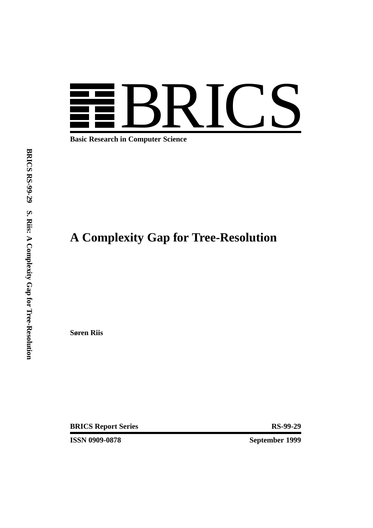

**Basic Research in Computer Science**

# **A Complexity Gap for Tree-Resolution**

**Søren Riis**

**BRICS Report Series RS-99-29** 

**ISSN 0909-0878** September 1999

**BRICS RS-99-29 S. Riis: A Complexity** $\mathbf{q}$  **for Tree-Resolution**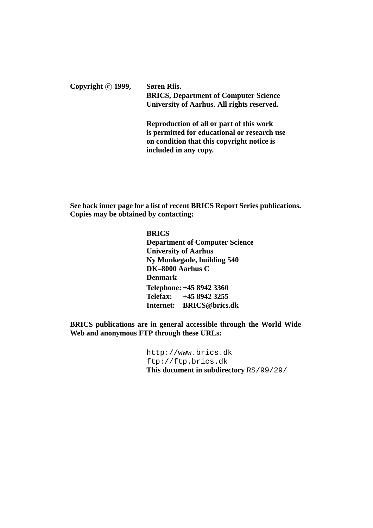Copyright  $\odot$  1999, Søren Riis. **BRICS, Department of Computer Science University of Aarhus. All rights reserved. Reproduction of all or part of this work**

**is permitted for educational or research use on condition that this copyright notice is included in any copy.**

**See back inner page for a list of recent BRICS Report Series publications. Copies may be obtained by contacting:**

> **BRICS Department of Computer Science University of Aarhus Ny Munkegade, building 540 DK–8000 Aarhus C Denmark Telephone: +45 8942 3360 Telefax: +45 8942 3255 Internet: BRICS@brics.dk**

**BRICS publications are in general accessible through the World Wide Web and anonymous FTP through these URLs:**

> http://www.brics.dk ftp://ftp.brics.dk **This document in subdirectory** RS/99/29/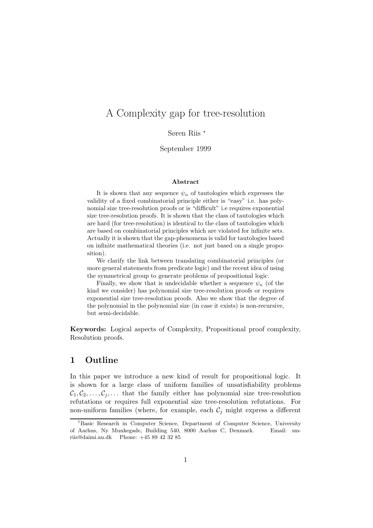## A Complexity gap for tree-resolution

Søren Riis <sup>∗</sup>

## September 1999

#### **Abstract**

It is shown that any sequence  $\psi_n$  of tautologies which expresses the validity of a fixed combinatorial principle either is "easy" i.e. has polynomial size tree-resolution proofs or is "difficult" i.e requires exponential size tree-resolution proofs. It is shown that the class of tautologies which are hard (for tree-resolution) is identical to the class of tautologies which are based on combinatorial principles which are violated for infinite sets. Actually it is shown that the gap-phenomena is valid for tautologies based on infinite mathematical theories (i.e. not just based on a single proposition).

We clarify the link between translating combinatorial principles (or more general statements from predicate logic) and the recent idea of using the symmetrical group to generate problems of propositional logic.

Finally, we show that is undecidable whether a sequence  $\psi_n$  (of the kind we consider) has polynomial size tree-resolution proofs or requires exponential size tree-resolution proofs. Also we show that the degree of the polynomial in the polynomial size (in case it exists) is non-recursive, but semi-decidable.

**Keywords:** Logical aspects of Complexity, Propositional proof complexity, Resolution proofs.

### **1 Outline**

In this paper we introduce a new kind of result for propositional logic. It is shown for a large class of uniform families of unsatisfiability problems  $C_1, C_2, \ldots, C_i, \ldots$  that the family either has polynomial size tree-resolution refutations or requires full exponential size tree-resolution refutations. For non-uniform families (where, for example, each  $\mathcal{C}_i$  might express a different

<sup>1</sup>Basic Research in Computer Science, Department of Computer Science, University of Aarhus, Ny Munkegade, Building 540, 8000 Aarhus C, Denmark. Email: smriis@daimi.au.dk Phone: +45 89 42 32 85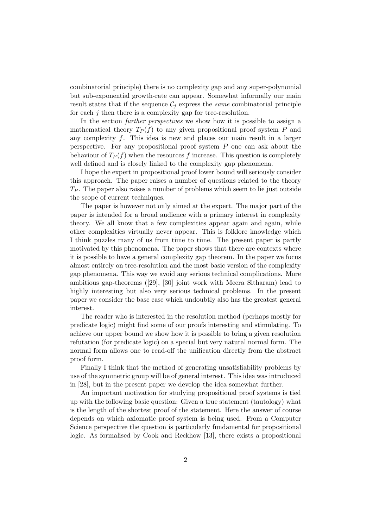combinatorial principle) there is no complexity gap and any super-polynomial but sub-exponential growth-rate can appear. Somewhat informally our main result states that if the sequence  $\mathcal{C}_i$  express the *same* combinatorial principle for each  $j$  then there is a complexity gap for tree-resolution.

In the section *further perspectives* we show how it is possible to assign a mathematical theory  $T_P(f)$  to any given propositional proof system P and any complexity  $f$ . This idea is new and places our main result in a larger perspective. For any propositional proof system  $P$  one can ask about the behaviour of  $T_P(f)$  when the resources f increase. This question is completely well defined and is closely linked to the complexity gap phenomena.

I hope the expert in propositional proof lower bound will seriously consider this approach. The paper raises a number of questions related to the theory  $T_P$ . The paper also raises a number of problems which seem to lie just outside the scope of current techniques.

The paper is however not only aimed at the expert. The major part of the paper is intended for a broad audience with a primary interest in complexity theory. We all know that a few complexities appear again and again, while other complexities virtually never appear. This is folklore knowledge which I think puzzles many of us from time to time. The present paper is partly motivated by this phenomena. The paper shows that there are contexts where it is possible to have a general complexity gap theorem. In the paper we focus almost entirely on tree-resolution and the most basic version of the complexity gap phenomena. This way we avoid any serious technical complications. More ambitious gap-theorems ([29], [30] joint work with Meera Sitharam) lead to highly interesting but also very serious technical problems. In the present paper we consider the base case which undoubtly also has the greatest general interest.

The reader who is interested in the resolution method (perhaps mostly for predicate logic) might find some of our proofs interesting and stimulating. To achieve our upper bound we show how it is possible to bring a given resolution refutation (for predicate logic) on a special but very natural normal form. The normal form allows one to read-off the unification directly from the abstract proof form.

Finally I think that the method of generating unsatisfiability problems by use of the symmetric group will be of general interest. This idea was introduced in [28], but in the present paper we develop the idea somewhat further.

An important motivation for studying propositional proof systems is tied up with the following basic question: Given a true statement (tautology) what is the length of the shortest proof of the statement. Here the answer of course depends on which axiomatic proof system is being used. From a Computer Science perspective the question is particularly fundamental for propositional logic. As formalised by Cook and Reckhow [13], there exists a propositional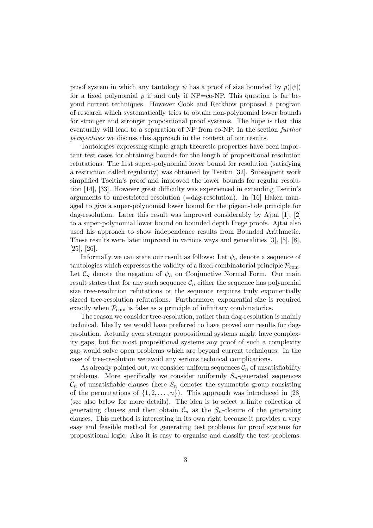proof system in which any tautology  $\psi$  has a proof of size bounded by  $p(|\psi|)$ for a fixed polynomial  $p$  if and only if  $NP=co-NP$ . This question is far beyond current techniques. However Cook and Reckhow proposed a program of research which systematically tries to obtain non-polynomial lower bounds for stronger and stronger propositional proof systems. The hope is that this eventually will lead to a separation of NP from co-NP. In the section *further perspectives* we discuss this approach in the context of our results.

Tautologies expressing simple graph theoretic properties have been important test cases for obtaining bounds for the length of propositional resolution refutations. The first super-polynomial lower bound for resolution (satisfying a restriction called regularity) was obtained by Tseitin [32]. Subsequent work simplified Tseitin's proof and improved the lower bounds for regular resolution [14], [33]. However great difficulty was experienced in extending Tseitin's arguments to unrestricted resolution  $(=\text{dag-resolution})$ . In [16] Haken managed to give a super-polynomial lower bound for the pigeon-hole principle for dag-resolution. Later this result was improved considerably by Ajtai [1], [2] to a super-polynomial lower bound on bounded depth Frege proofs. Ajtai also used his approach to show independence results from Bounded Arithmetic. These results were later improved in various ways and generalities [3], [5], [8], [25], [26].

Informally we can state our result as follows: Let  $\psi_n$  denote a sequence of tautologies which expresses the validity of a fixed combinatorial principle  $P_{com}$ . Let  $\mathcal{C}_n$  denote the negation of  $\psi_n$  on Conjunctive Normal Form. Our main result states that for any such sequence  $\mathcal{C}_n$  either the sequence has polynomial size tree-resolution refutations or the sequence requires truly exponentially sizeed tree-resolution refutations. Furthermore, exponential size is required exactly when  $P_{com}$  is false as a principle of infinitary combinatorics.

The reason we consider tree-resolution, rather than dag-resolution is mainly technical. Ideally we would have preferred to have proved our results for dagresolution. Actually even stronger propositional systems might have complexity gaps, but for most propositional systems any proof of such a complexity gap would solve open problems which are beyond current techniques. In the case of tree-resolution we avoid any serious technical complications.

As already pointed out, we consider uniform sequences  $\mathcal{C}_n$  of unsatisfiability problems. More specifically we consider uniformly  $S_n$ -generated sequences  $\mathcal{C}_n$  of unsatisfiable clauses (here  $S_n$  denotes the symmetric group consisting of the permutations of  $\{1, 2, ..., n\}$ . This approach was introduced in [28] (see also below for more details). The idea is to select a finite collection of generating clauses and then obtain  $\mathcal{C}_n$  as the  $S_n$ -closure of the generating clauses. This method is interesting in its own right because it provides a very easy and feasible method for generating test problems for proof systems for propositional logic. Also it is easy to organise and classify the test problems.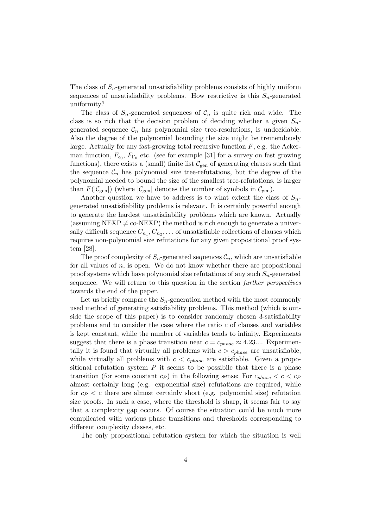The class of  $S_n$ -generated unsatisfiability problems consists of highly uniform sequences of unsatisfiability problems. How restrictive is this  $S_n$ -generated uniformity?

The class of  $S_n$ -generated sequences of  $\mathcal{C}_n$  is quite rich and wide. The class is so rich that the decision problem of deciding whether a given  $S_n$ generated sequence  $C_n$  has polynomial size tree-resolutions, is undecidable. Also the degree of the polynomial bounding the size might be tremendously large. Actually for any fast-growing total recursive function  $F$ , e.g. the Ackerman function,  $F_{\epsilon_0}$ ,  $F_{\Gamma_0}$  etc. (see for example [31] for a survey on fast growing functions), there exists a (small) finite list  $C_{gen}$  of generating clauses such that the sequence  $\mathcal{C}_n$  has polynomial size tree-refutations, but the degree of the polynomial needed to bound the size of the smallest tree-refutations, is larger than  $F(|\mathcal{C}_{gen}|)$  (where  $|\mathcal{C}_{gen}|$  denotes the number of symbols in  $\mathcal{C}_{gen}$ ).

Another question we have to address is to what extent the class of  $S_n$ generated unsatisfiability problems is relevant. It is certainly powerful enough to generate the hardest unsatisfiability problems which are known. Actually (assuming NEXP  $\neq$  co-NEXP) the method is rich enough to generate a universally difficult sequence  $C_{n_1}, C_{n_2}, \ldots$  of unsatisfiable collections of clauses which requires non-polynomial size refutations for any given propositional proof system [28].

The proof complexity of  $S_n$ -generated sequences  $\mathcal{C}_n$ , which are unsatisfiable for all values of  $n$ , is open. We do not know whether there are propositional proof systems which have polynomial size refutations of any such  $S_n$ -generated sequence. We will return to this question in the section *further perspectives* towards the end of the paper.

Let us briefly compare the  $S_n$ -generation method with the most commonly used method of generating satisfiability problems. This method (which is outside the scope of this paper) is to consider randomly chosen 3-satisfiability problems and to consider the case where the ratio c of clauses and variables is kept constant, while the number of variables tends to infinity. Experiments suggest that there is a phase transition near  $c = c_{phase} \approx 4.23...$  Experimentally it is found that virtually all problems with  $c>c_{phase}$  are unsatisfiable, while virtually all problems with  $c < c_{phase}$  are satisfiable. Given a propositional refutation system  $P$  it seems to be possibile that there is a phase transition (for some constant  $c_P$ ) in the following sense: For  $c_{phase} < c < c_P$ almost certainly long (e.g. exponential size) refutations are required, while for  $c_P < c$  there are almost certainly short (e.g. polynomial size) refutation size proofs. In such a case, where the threshold is sharp, it seems fair to say that a complexity gap occurs. Of course the situation could be much more complicated with various phase transitions and thresholds corresponding to different complexity classes, etc.

The only propositional refutation system for which the situation is well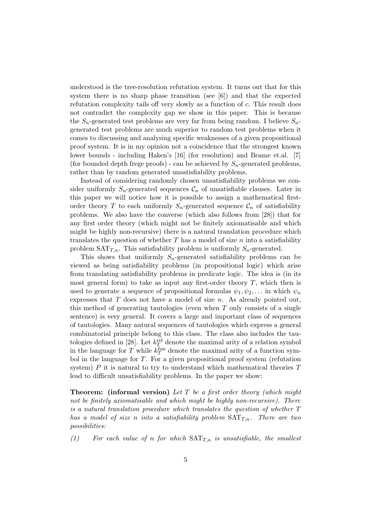understood is the tree-resolution refutation system. It turns out that for this system there is no sharp phase transition (see [6]) and that the expected refutation complexity tails off very slowly as a function of c. This result does not contradict the complexity gap we show in this paper. This is because the  $S_n$ -generated test problems are very far from being random. I believe  $S_n$ generated test problems are much superior to random test problems when it comes to discussing and analysing specific weaknesses of a given propositional proof system. It is in my opinion not a coincidence that the strongest known lower bounds - including Haken's [16] (for resolution) and Beame et.al. [7] (for bounded depth frege proofs) - can be achieved by  $S_n$ -generated problems, rather than by random generated unsatisfiability problems.

Instead of considering randomly chosen unsatisfiability problems we consider uniformly  $S_n$ -generated sequences  $\mathcal{C}_n$  of unsatisfiable clauses. Later in this paper we will notice how it is possible to assign a mathematical firstorder theory T to each uniformly  $S_n$ -generated sequence  $\mathcal{C}_n$  of satisfiability problems. We also have the converse (which also follows from [28]) that for any first order theory (which might not be finitely axiomatisable and which might be highly non-recursive) there is a natural translation procedure which translates the question of whether  $T$  has a model of size  $n$  into a satisfiability problem  $SAT_{T,n}$ . This satisfiability problem is uniformly  $S_n$ -generated.

This shows that uniformly  $S_n$ -generated satisfiability problems can be viewed as being satisfiability problems (in propositional logic) which arise from translating satisfiability problems in predicate logic. The idea is (in its most general form) to take as input any first-order theory  $T$ , which then is used to generate a sequence of propositional formulas  $\psi_1, \psi_2, \ldots$  in which  $\psi_n$ expresses that  $T$  does not have a model of size  $n$ . As already pointed out, this method of generating tautologies (even when  $T$  only consists of a single sentence) is very general. It covers a large and important class of sequences of tautologies. Many natural sequences of tautologies which express a general combinatorial principle belong to this class. The class also includes the tautologies defined in [28]. Let  $k_T^{\text{rel}}$  denote the maximal arity of a relation symbol in the language for T while  $k_T^{\text{tun}}$  denote the maximal arity of a function symbol in the language for T. For a given propositional proof system (refutation system)  $P$  it is natural to try to understand which mathematical theories  $T$ lead to difficult unsatisfiability problems. In the paper we show:

**Theorem: (informal version)** *Let* T *be a first order theory (which might not be finitely axiomatisable and which might be highly non-recursive). There is a natural translation procedure which translates the question of whether* T *has a model of size n into a satisfiability problem*  $SAT<sub>T,n</sub>$ *. There are two possibilities:*

 $(1)$  For each value of *n* for which  $SAT_{T,n}$  is unsatisfiable, the smallest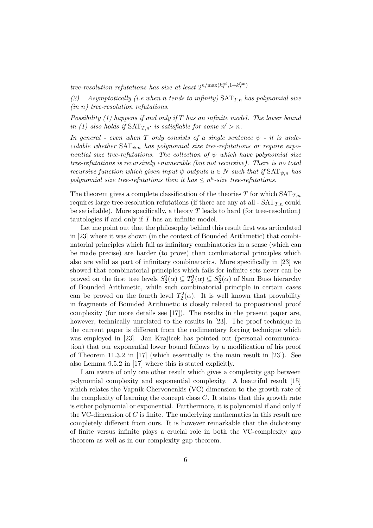$tree-resolution$  refutations has size at least  $2^{n/\max(k_T^{\text{rel}},1+k_T^{\text{fun}})}$ 

*(2) Asymptotically (i.e when* n *tends to infinity)*  $SAT_{T,n}$  *has polynomial size (in* n*) tree-resolution refutations.*

*Possibility (1) happens if and only if* T *has an infinite model. The lower bound in (1) also holds if*  $SAT_{T,n'}$  *is satisfiable for some*  $n' > n$ *.* 

*In general - even when*  $T$  *only consists of a single sentence*  $\psi$  - *it is undecidable whether*  $SAT_{\psi,n}$  *has polynomial size tree-refutations or require exponential size tree-refutations. The collection of* ψ *which have polynomial size tree-refutations is recursively enumerable (but not recursive). There is no total recursive function which given input*  $\psi$  *outputs*  $u \in N$  *such that if*  $SAT_{\psi,n}$  *has polynomial size tree-refutations then it has*  $\leq n^u$ -size tree-refutations.

The theorem gives a complete classification of the theories  $T$  for which  $SAT_{T,n}$ requires large tree-resolution refutations (if there are any at all -  $SAT_{T,n}$  could be satisfiable). More specifically, a theory  $T$  leads to hard (for tree-resolution) tautologies if and only if  $T$  has an infinite model.

Let me point out that the philosophy behind this result first was articulated in [23] where it was shown (in the context of Bounded Arithmetic) that combinatorial principles which fail as infinitary combinatorics in a sense (which can be made precise) are harder (to prove) than combinatorial principles which also are valid as part of infinitary combinatorics. More specifically in [23] we showed that combinatorial principles which fails for infinite sets never can be proved on the first tree levels  $S_2^1(\alpha) \subseteq T_2^1(\alpha) \subseteq S_2^2(\alpha)$  of Sam Buss hierarchy<br>of Bounded Arithmetic, while such combinatorial principle in certain cases of Bounded Arithmetic, while such combinatorial principle in certain cases can be proved on the fourth level  $T_2^2(\alpha)$ . It is well known that provability<br>in fragments of Bounded Arithmetic is closely related to propositional proof in fragments of Bounded Arithmetic is closely related to propositional proof complexity (for more details see [17]). The results in the present paper are, however, technically unrelated to the results in [23]. The proof technique in the current paper is different from the rudimentary forcing technique which was employed in [23]. Jan Krajicek has pointed out (personal communication) that our exponential lower bound follows by a modification of his proof of Theorem 11.3.2 in [17] (which essentially is the main result in [23]). See also Lemma 9.5.2 in [17] where this is stated explicitly.

I am aware of only one other result which gives a complexity gap between polynomial complexity and exponential complexity. A beautiful result [15] which relates the Vapnik-Chervonenkis (VC) dimension to the growth rate of the complexity of learning the concept class  $C$ . It states that this growth rate is either polynomial or exponential. Furthermore, it is polynomial if and only if the VC-dimension of  $C$  is finite. The underlying mathematics in this result are completely different from ours. It is however remarkable that the dichotomy of finite versus infinite plays a crucial role in both the VC-complexity gap theorem as well as in our complexity gap theorem.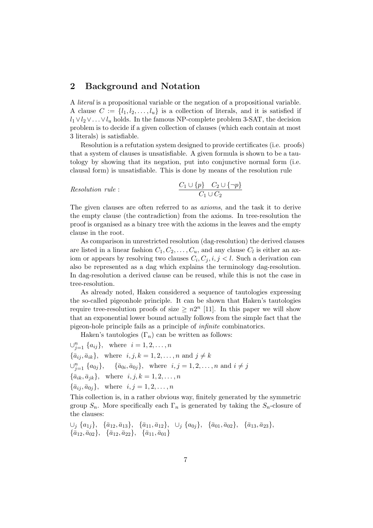#### **2 Background and Notation**

A *literal* is a propositional variable or the negation of a propositional variable. A clause  $C := \{l_1, l_2, \ldots, l_u\}$  is a collection of literals, and it is satisfied if  $l_1 \vee l_2 \vee \ldots \vee l_u$  holds. In the famous NP-complete problem 3-SAT, the decision problem is to decide if a given collection of clauses (which each contain at most 3 literals) is satisfiable.

Resolution is a refutation system designed to provide certificates (i.e. proofs) that a system of clauses is unsatisfiable. A given formula is shown to be a tautology by showing that its negation, put into conjunctive normal form (i.e. clausal form) is unsatisfiable. This is done by means of the resolution rule

Resolution rule : 
$$
\frac{C_1 \cup \{p\} \quad C_2 \cup \{\neg p\}}{C_1 \cup C_2}
$$

The given clauses are often referred to as *axioms*, and the task it to derive the empty clause (the contradiction) from the axioms. In tree-resolution the proof is organised as a binary tree with the axioms in the leaves and the empty clause in the root.

As comparison in unrestricted resolution (dag-resolution) the derived clauses are listed in a linear fashion  $C_1, C_2, \ldots, C_u$ , and any clause  $C_l$  is either an axiom or appears by resolving two clauses  $C_i, C_j, i, j < l$ . Such a derivation can also be represented as a dag which explains the terminology dag-resolution. In dag-resolution a derived clause can be reused, while this is not the case in tree-resolution.

As already noted, Haken considered a sequence of tautologies expressing the so-called pigeonhole principle. It can be shown that Haken's tautologies require tree-resolution proofs of size  $\geq n2^n$  [11]. In this paper we will show that an exponential lower bound actually follows from the simple fact that the pigeon-hole principle fails as a principle of *infinite* combinatorics.

Haken's tautologies  $(\Gamma_n)$  can be written as follows:

$$
\bigcup_{j=1}^{n} \{a_{ij}\}, \text{ where } i = 1, 2, \dots, n
$$
  
\n
$$
\{\bar{a}_{ij}, \bar{a}_{ik}\}, \text{ where } i, j, k = 1, 2, \dots, n \text{ and } j \neq k
$$
  
\n
$$
\bigcup_{j=1}^{n} \{a_{0j}\}, \{\bar{a}_{0i}, \bar{a}_{0j}\}, \text{ where } i, j = 1, 2, \dots, n \text{ and } i \neq j
$$
  
\n
$$
\{\bar{a}_{ik}, \bar{a}_{jk}\}, \text{ where } i, j, k = 1, 2, \dots, n
$$
  
\n
$$
\{\bar{a}_{ij}, \bar{a}_{0j}\}, \text{ where } i, j = 1, 2, \dots, n
$$
  
\nThis collection is in a rather obvious way finitely generated by

This collection is, in a rather obvious way, finitely generated by the symmetric group  $S_n$ . More specifically each  $\Gamma_n$  is generated by taking the  $S_n$ -closure of the clauses:

$$
\cup_j \{a_{1j}\}, \{\bar{a}_{12}, \bar{a}_{13}\}, \{\bar{a}_{11}, \bar{a}_{12}\}, \cup_j \{a_{0j}\}, \{\bar{a}_{01}, \bar{a}_{02}\}, \{\bar{a}_{13}, \bar{a}_{23}\},\{\bar{a}_{12}, \bar{a}_{02}\}, \{\bar{a}_{12}, \bar{a}_{22}\}, \{\bar{a}_{11}, \bar{a}_{01}\}
$$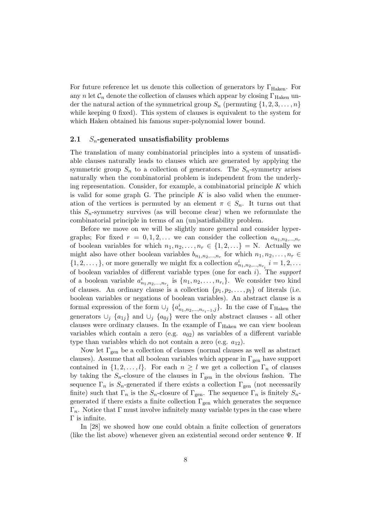For future reference let us denote this collection of generators by  $\Gamma_{\text{Haken}}$ . For any n let  $\mathcal{C}_n$  denote the collection of clauses which appear by closing  $\Gamma_{\text{Haken}}$  under the natural action of the symmetrical group  $S_n$  (permuting  $\{1, 2, 3, \ldots, n\}$ ) while keeping 0 fixed). This system of clauses is equivalent to the system for which Haken obtained his famous super-polynomial lower bound.

#### **2.1** Sn**-generated unsatisfiability problems**

The translation of many combinatorial principles into a system of unsatisfiable clauses naturally leads to clauses which are generated by applying the symmetric group  $S_n$  to a collection of generators. The  $S_n$ -symmetry arises naturally when the combinatorial problem is independent from the underlying representation. Consider, for example, a combinatorial principle  $K$  which is valid for some graph G. The principle  $K$  is also valid when the enumeration of the vertices is permuted by an element  $\pi \in S_n$ . It turns out that this  $S_n$ -symmetry survives (as will become clear) when we reformulate the combinatorial principle in terms of an (un)satisfiability problem.

Before we move on we will be slightly more general and consider hypergraphs; For fixed  $r = 0, 1, 2, \ldots$  we can consider the collection  $a_{n_1, n_2, \ldots, n_r}$ of boolean variables for which  $n_1, n_2, \ldots, n_r \in \{1, 2, \ldots\} = N$ . Actually we might also have other boolean variables  $b_{n_1,n_2,...,n_r}$  for which  $n_1, n_2,...,n_r \in$  $\{1, 2, \ldots, \}$ , or more generally we might fix a collection  $a_{n_1, n_2, \ldots, n_{r_i}}^i$   $i = 1, 2, \ldots$ of boolean variables of different variable types (one for each i). The *support* of a boolean variable  $a_{n_1,n_2,...,n_{r_i}}^i$  is  $\{n_1,n_2,...,n_{r_i}\}$ . We consider two kind of clauses. An ordinary clause is a collection  $\{p_1, p_2, \ldots, p_l\}$  of literals (i.e. boolean variables or negations of boolean variables). An abstract clause is a formal expression of the form  $\cup_j \{a_{n_1,n_2,...,n_{r_i-1},j}^i\}$ . In the case of  $\Gamma_{\text{Haken}}$  the generators  $\cup_j$  {a<sub>1j</sub>} and  $\cup_j$  {a<sub>0j</sub>} were the only abstract clauses - all other clauses were ordinary clauses. In the example of  $\Gamma_{\text{Haken}}$  we can view boolean variables which contain a zero (e.g.  $a_{02}$ ) as variables of a different variable type than variables which do not contain a zero (e.g.  $a_{12}$ ).

Now let  $\Gamma_{\text{gen}}$  be a collection of clauses (normal clauses as well as abstract clauses). Assume that all boolean variables which appear in  $\Gamma_{\text{gen}}$  have support contained in  $\{1, 2, \ldots, l\}$ . For each  $n \geq l$  we get a collection  $\Gamma_n$  of clauses by taking the  $S_n$ -closure of the clauses in  $\Gamma_{gen}$  in the obvious fashion. The sequence  $\Gamma_n$  is  $S_n$ -generated if there exists a collection  $\Gamma_{\text{gen}}$  (not necessarily finite) such that  $\Gamma_n$  is the  $S_n$ -closure of  $\Gamma_{\text{gen}}$ . The sequence  $\Gamma_n$  is finitely  $S_n$ generated if there exists a finite collection  $\Gamma_{gen}$  which generates the sequence  $\Gamma_n$ . Notice that  $\Gamma$  must involve infinitely many variable types in the case where Γ is infinite.

In [28] we showed how one could obtain a finite collection of generators (like the list above) whenever given an existential second order sentence  $\Psi$ . If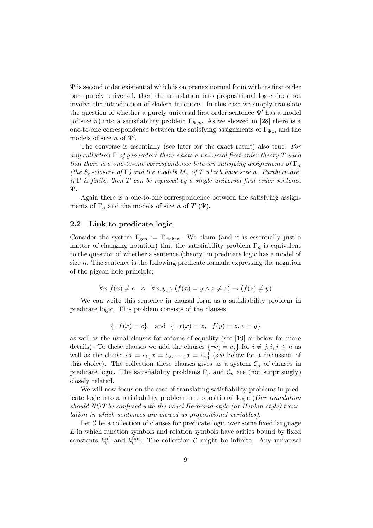$\Psi$  is second order existential which is on prenex normal form with its first order part purely universal, then the translation into propositional logic does not involve the introduction of skolem functions. In this case we simply translate the question of whether a purely universal first order sentence  $\Psi'$  has a model (of size n) into a satisfiability problem  $\Gamma_{\Psi,n}$ . As we showed in [28] there is a one-to-one correspondence between the satisfying assignments of  $\Gamma_{\Psi,n}$  and the models of size  $n$  of  $\Psi'$ .

The converse is essentially (see later for the exact result) also true: *For any collection* Γ *of generators there exists a universal first order theory* T *such that there is a one-to-one correspondence between satisfying assignments of*  $\Gamma_n$ *(the*  $S_n$ -closure of  $\Gamma$ ) and the models  $M_n$  of  $T$  which have size n. Furthermore, *if* Γ *is finite, then* T *can be replaced by a single universal first order sentence* Ψ*.*

Again there is a one-to-one correspondence between the satisfying assignments of  $\Gamma_n$  and the models of size n of T ( $\Psi$ ).

#### **2.2 Link to predicate logic**

Consider the system  $\Gamma_{\text{gen}} := \Gamma_{\text{Haken}}$ . We claim (and it is essentially just a matter of changing notation) that the satisfiability problem  $\Gamma_n$  is equivalent to the question of whether a sentence (theory) in predicate logic has a model of size  $n$ . The sentence is the following predicate formula expressing the negation of the pigeon-hole principle:

$$
\forall x \ f(x) \neq c \ \land \ \forall x, y, z \ (f(x) = y \land x \neq z) \rightarrow (f(z) \neq y)
$$

We can write this sentence in clausal form as a satisfiability problem in predicate logic. This problem consists of the clauses

$$
\{\neg f(x) = c\}
$$
, and  $\{\neg f(x) = z, \neg f(y) = z, x = y\}$ 

as well as the usual clauses for axioms of equality (see [19] or below for more details). To these clauses we add the clauses  $\{\neg c_i = c_j\}$  for  $i \neq j, i, j \leq n$  as well as the clause  $\{x = c_1, x = c_2, \ldots, x = c_n\}$  (see below for a discussion of this choice). The collection these clauses gives us a system  $\mathcal{C}_n$  of clauses in predicate logic. The satisfiability problems  $\Gamma_n$  and  $\mathcal{C}_n$  are (not surprisingly) closely related.

We will now focus on the case of translating satisfiability problems in predicate logic into a satisfiability problem in propositional logic (*Our translation should NOT be confused with the usual Herbrand-style (or Henkin-style) translation in which sentences are viewed as propositional variables)*.

Let  $C$  be a collection of clauses for predicate logic over some fixed language  $L$  in which function symbols and relation symbols have arities bound by fixed constants  $k_C^{\text{rel}}$  and  $k_C^{\text{fun}}$ . The collection C might be infinite. Any universal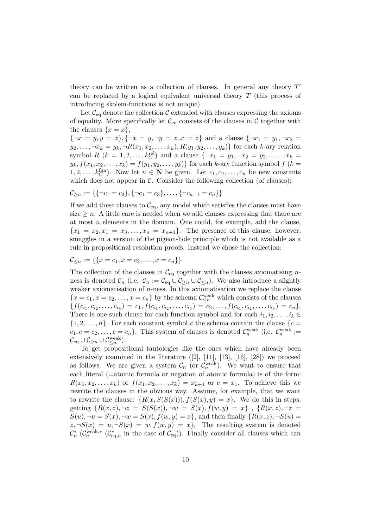theory can be written as a collection of clauses. In general any theory  $T'$ can be replaced by a logical equivalent universal theory T (this process of introducing skolem-functions is not unique).

Let  $\mathcal{C}_{\text{eq}}$  denote the collection  $\mathcal{C}$  extended with clauses expressing the axioms of equality. More specifically let  $\mathcal{C}_{eq}$  consists of the clauses in  $\mathcal C$  together with the clauses  $\{x = x\},\$ 

 ${\neg x = y, y = x}, {\neg x = y, \neg y = z, x = z}$  and a clause  ${\neg x_1 = y_1, \neg x_2 = z}$  $y_2,..., \neg x_k = y_k, \neg R(x_1, x_2,..., x_k), R(y_1, y_2,..., y_k)$  for each k-ary relation symbol  $R$   $(k = 1, 2, \ldots, k_C^{\text{rel}})$  and a clause  $\{\neg x_1 = y_1, \neg x_2 = y_2, \ldots, \neg x_k = k\}$  $y_k, f(x_1, x_2, \ldots, x_k) = f(y_1, y_2, \ldots, y_k)$  for each k-ary function symbol  $f(k =$ 1, 2,...,  $k_C^{\text{fun}}$ ). Now let  $n \in \mathbb{N}$  be given. Let  $c_1, c_2, \ldots, c_n$  be new constants which does not appear in  $\mathcal C$ . Consider the following collection (of clauses):

$$
C_{\geq n} := \{ \{ \neg c_1 = c_2 \}, \{ \neg c_1 = c_3 \}, \dots, \{ \neg c_{n-1} = c_n \} \}
$$

If we add these clauses to  $\mathcal{C}_{eq}$ , any model which satisfies the clauses must have size  $\geq n$ . A little care is needed when we add clauses expressing that there are at most  $n$  elements in the domain. One could, for example, add the clause,  ${x_1 = x_2, x_1 = x_3, \ldots, x_n = x_{n+1}}$ . The presence of this clause, however, smuggles in a version of the pigeon-hole principle which is not available as a rule in propositional resolution proofs. Instead we chose the collection:

 $\mathcal{C}_{\leq n} := \{\{x = c_1, x = c_2, \ldots, x = c_n\}\}\$ 

The collection of the clauses in  $\mathcal{C}_{eq}$  together with the clauses axiomatising *n*ness is denoted  $\mathcal{C}_n$  (i.e.  $\mathcal{C}_n := \mathcal{C}_{eq} \cup \mathcal{C}_{\geq n} \cup \mathcal{C}_{\leq n}$ ). We also introduce a slightly weaker axiomatisation of  $n$ -ness. In this axiomatisation we replace the clause  ${x = c_1, x = c_2, ..., x = c_n}$  by the schema  $\mathcal{C}_{\leq n}^{\text{weak}}$  which consists of the clauses  ${f(c_{i_1}, c_{i_2}, \ldots, c_{i_k}) = c_1, f(c_{i_1}, c_{i_2}, \ldots, c_{i_k}) = c_2, \ldots, f(c_{i_1}, c_{i_2}, \ldots, c_{i_k}) = c_n}.$ There is one such clause for each function symbol and for each  $i_1, i_2, \ldots, i_k \in$  $\{1, 2, \ldots, n\}$ . For each constant symbol c the schema contain the clause  $\{c =$  $c_1, c = c_2, \ldots, c = c_n$ . This system of clauses is denoted  $\mathcal{C}_n^{\text{weak}}$  (i.e.  $\mathcal{C}_n^{\text{weak}} :=$  $\mathcal{C}_{\text{eq}} \cup \mathcal{C}_{\geq n} \cup \mathcal{C}_{\leq n}^{\text{weak}}.$ 

To get propositional tautologies like the ones which have already been extensively examined in the literature  $([2], [11], [13], [16], [28])$  we proceed as follows: We are given a system  $\mathcal{C}_n$  (or  $\mathcal{C}_n^{\text{weak}}$ ). We want to ensure that each literal (=atomic formula or negation of atomic formula) is of the form:  $R(x_1, x_2,...,x_k)$  or  $f(x_1, x_2,...,x_k) = x_{k+1}$  or  $c = x_1$ . To achieve this we rewrite the clauses in the obvious way. Assume, for example, that we want to rewrite the clause:  $\{R(x, S(S(x))), f(S(x), y) = x\}$ . We do this in steps, getting  ${R(x, z), \neg z = S(S(x)), \neg w = S(x), f(w, y) = x}$ ,  ${R(x, z), \neg z =$  $S(u)$ ,  $\neg u = S(x)$ ,  $\neg w = S(x)$ ,  $f(w, y) = x$ , and then finally  $\{R(x, z), \neg S(u) = x\}$  $z, \neg S(x) = u, \neg S(x) = w, f(w, y) = x$ . The resulting system is denoted  $\mathcal{C}_n^*$  ( $\mathcal{C}_{\text{eq},n}^*$  ( $\mathcal{C}_{\text{eq},n}^*$  in the case of  $\mathcal{C}_{\text{eq}}$ )). Finally consider all clauses which can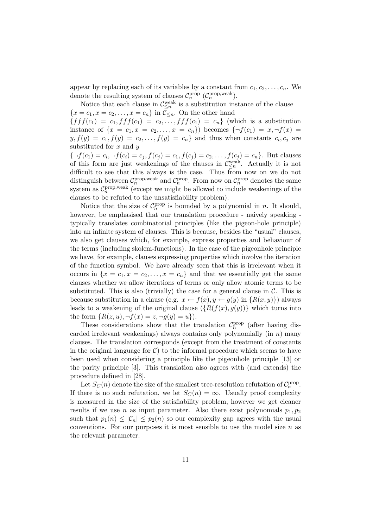appear by replacing each of its variables by a constant from  $c_1, c_2, \ldots, c_n$ . We denote the resulting system of clauses  $C_n^{\text{prop}}$  ( $C_n^{\text{prop,weak}}$ ).

Notice that each clause in  $\mathcal{C}_{\leq n}^{\text{weak}}$  is a substitution instance of the clause  ${x = c_1, x = c_2, \ldots, x = c_n}$  in  $C_{\leq n}$ . On the other hand  ${fff(c_1) = c_1, fff(c_1) = c_2, \ldots, fff(c_1) = c_n}$  (which is a substitution instance of  $\{x = c_1, x = c_2, ..., x = c_n\}$  becomes  $\{\neg f(c_1) = x, \neg f(x) = x\}$  $y, f(y) = c_1, f(y) = c_2, \ldots, f(y) = c_n$  and thus when constants  $c_i, c_j$  are substituted for  $x$  and  $y$ 

 ${\lbrace \neg f(c_1)=c_i, \neg f(c_i)=c_j, f(c_j)=c_1, f(c_j)=c_2, \ldots, f(c_j)=c_n \rbrace}$ . But clauses of this form are just weakenings of the clauses in  $\mathcal{C}^{\text{weak}}_{\leq n}$ . Actually it is not difficult to see that this always is the case. Thus from now on we do not distinguish between  $C_n^{\text{prop,weak}}$  and  $C_n^{\text{prop}}$ . From now on  $C_n^{\text{prop}}$  denotes the same system as  $C_n^{\text{prop,weak}}$  (except we might be allowed to include weakenings of the clauses to be refuted to the unsatisfiability problem).

Notice that the size of  $C_n^{\text{prop}}$  is bounded by a polynomial in n. It should, however, be emphasised that our translation procedure - naively speaking typically translates combinatorial principles (like the pigeon-hole principle) into an infinite system of clauses. This is because, besides the "usual" clauses, we also get clauses which, for example, express properties and behaviour of the terms (including skolem-functions). In the case of the pigeonhole principle we have, for example, clauses expressing properties which involve the iteration of the function symbol. We have already seen that this is irrelevant when it occurs in  $\{x = c_1, x = c_2, \ldots, x = c_n\}$  and that we essentially get the same clauses whether we allow iterations of terms or only allow atomic terms to be substituted. This is also (trivially) the case for a general clause in  $\mathcal{C}$ . This is because substitution in a clause (e.g.  $x \leftarrow f(x), y \leftarrow g(y)$  in  $\{R(x, y)\}\)$  always leads to a weakening of the original clause  $({R(f(x), g(y))}$  which turns into the form  $\{R(z, u), \neg f(x) = z, \neg g(y) = u\}.$ 

These considerations show that the translation  $C_n^{\text{prop}}$  (after having discarded irrelevant weakenings) always contains only polynomially (in  $n$ ) many clauses. The translation corresponds (except from the treatment of constants in the original language for  $C$ ) to the informal procedure which seems to have been used when considering a principle like the pigeonhole principle [13] or the parity principle [3]. This translation also agrees with (and extends) the procedure defined in [28].

Let  $S_C(n)$  denote the size of the smallest tree-resolution refutation of  $\mathcal{C}_n^{\rm prop}$ . If there is no such refutation, we let  $S<sub>C</sub>(n) = \infty$ . Usually proof complexity is measured in the size of the satisfiability problem, however we get cleaner results if we use n as input parameter. Also there exist polynomials  $p_1, p_2$ such that  $p_1(n) \leq |\mathcal{C}_n| \leq p_2(n)$  so our complexity gap agrees with the usual conventions. For our purposes it is most sensible to use the model size  $n$  as the relevant parameter.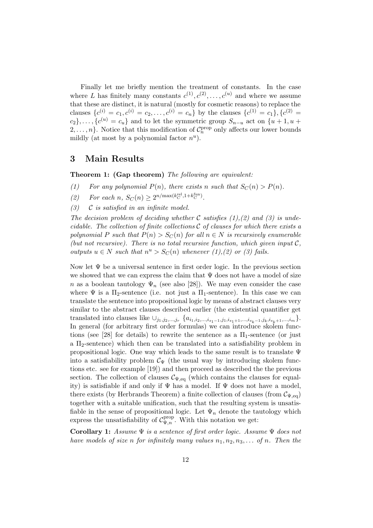Finally let me briefly mention the treatment of constants. In the case where L has finitely many constants  $c^{(1)}, c^{(2)}, \ldots, c^{(u)}$  and where we assume that these are distinct, it is natural (mostly for cosmetic reasons) to replace the clauses  $\{c^{(i)} = c_1, c^{(i)} = c_2, \ldots, c^{(i)} = c_n\}$  by the clauses  $\{c^{(1)} = c_1\}$ ,  $\{c^{(2)} = c_2, \ldots, c^{(i)} = c_n\}$  $c_2$ ,...,  $\{c^{(u)}=c_u\}$  and to let the symmetric group  $S_{n-u}$  act on  $\{u+1, u+1\}$  $2, \ldots, n$ . Notice that this modification of  $C_n^{\text{prop}}$  only affects our lower bounds mildly (at most by a polynomial factor  $n^u$ ).

#### **3 Main Results**

**Theorem 1: (Gap theorem)** *The following are equivalent:*

*(1) For any polynomial*  $P(n)$ *, there exists* n *such that*  $S_C(n) > P(n)$ *.* 

(2) For each  $n, S_C(n) \ge 2^{n/\max(k_C^{\text{rel}}, 1 + k_C^{\text{fun}})}$ .

*(3)* C *is satisfied in an infinite model.*

*The decision problem of deciding whether* C *satisfies (1),(2) and (3) is undecidable. The collection of finite collections* C *of clauses for which there exists a polynomial* P *such that*  $P(n) > S_C(n)$  *for all*  $n \in N$  *is recursively enumerable (but not recursive). There is no total recursive function, which given input*  $C$ *, outputs*  $u \in N$  *such that*  $n^u > S_C(n)$  *whenever* (1), (2) *or* (3) fails.

Now let  $\Psi$  be a universal sentence in first order logic. In the previous section we showed that we can express the claim that  $\Psi$  does not have a model of size n as a boolean tautology  $\Psi_n$  (see also [28]). We may even consider the case where  $\Psi$  is a  $\Pi_2$ -sentence (i.e. not just a  $\Pi_1$ -sentence). In this case we can translate the sentence into propositional logic by means of abstract clauses very similar to the abstract clauses described earlier (the existential quantifier get translated into clauses like  $\cup_{j_1,j_2,...,j_r} \ \{a_{i_1,i_2,...,i_{s_1-1},j_1,i_{s_1+1},...,i_{s_k-1},j_k,i_{s_k+1},...,i_m} \}.$ In general (for arbitrary first order formulas) we can introduce skolem functions (see [28] for details) to rewrite the sentence as a  $\Pi_1$ -sentence (or just a  $\Pi_2$ -sentence) which then can be translated into a satisfiability problem in propositional logic. One way which leads to the same result is to translate  $\Psi$ into a satisfiability problem  $\mathcal{C}_{\Psi}$  (the usual way by introducing skolem functions etc. see for example [19]) and then proceed as described the the previous section. The collection of clauses  $\mathcal{C}_{\Psi,eq}$  (which contains the clauses for equality) is satisfiable if and only if  $\Psi$  has a model. If  $\Psi$  does not have a model, there exists (by Herbrands Theorem) a finite collection of clauses (from  $\mathcal{C}_{\Psi,eq}$ ) together with a suitable unification, such that the resulting system is unsatisfiable in the sense of propositional logic. Let  $\Psi_n$  denote the tautology which express the unsatisfiability of  $C_{\Psi,n}^{\text{prop}}$ . With this notation we get:

**Corollary 1:** *Assume* Ψ *is a sentence of first order logic. Assume* Ψ *does not have models of size* n *for infinitely many values*  $n_1, n_2, n_3, \ldots$  *of* n. Then the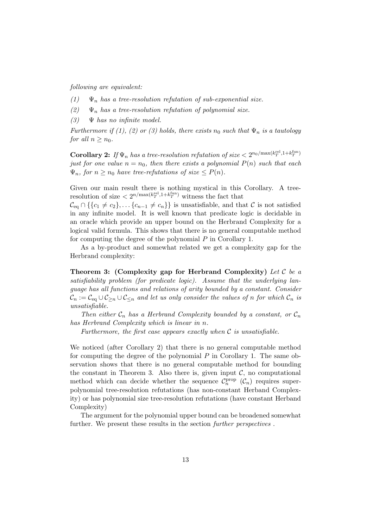*following are equivalent:*

- $(1)$   $\Psi_n$  *has a tree-resolution refutation of sub-exponential size.*
- $(2)$   $\Psi_n$  *has a tree-resolution refutation of polynomial size.*
- *(3)* Ψ *has no infinite model.*

*Furthermore if (1), (2) or (3) holds, there exists*  $n_0$  *such that*  $\Psi_n$  *is a tautology for all*  $n \geq n_0$ *.* 

**Corollary 2:** If  $\Psi_n$  has a tree-resolution refutation of size  $\lt 2^{n_0/\max(k_T^{\text{rel}},1+k_T^{\text{fun}})}$ *just for one value*  $n = n_0$ *, then there exists a polynomial*  $P(n)$  *such that each*  $\Psi_n$ , for  $n \geq n_0$  have tree-refutations of size  $\leq P(n)$ .

Given our main result there is nothing mystical in this Corollary. A treeresolution of size  $\langle 2^{n/\max(k_T^{\text{rel}},1+k_T^{\text{fun}})}$  witness the fact that

 $\mathcal{C}_{eq} \cap \{\{c_1 \neq c_2\},\ldots\{c_{n-1} \neq c_n\}\}\$ is unsatisfiable, and that  $\mathcal C$  is not satisfied in any infinite model. It is well known that predicate logic is decidable in an oracle which provide an upper bound on the Herbrand Complexity for a logical valid formula. This shows that there is no general computable method for computing the degree of the polynomial P in Corollary 1.

As a by-product and somewhat related we get a complexity gap for the Herbrand complexity:

**Theorem 3: (Complexity gap for Herbrand Complexity)** *Let* C *be a satisfiability problem (for predicate logic). Assume that the underlying language has all functions and relations of arity bounded by a constant. Consider*  $\mathcal{C}_n := \mathcal{C}_{eq} \cup \mathcal{C}_{\geq n} \cup \mathcal{C}_{\leq n}$  and let us only consider the values of n for which  $\mathcal{C}_n$  is *unsatisfiable.*

*Then either*  $C_n$  *has a Herbrand Complexity bounded by a constant, or*  $C_n$ *has Herbrand Complexity which is linear in* n*.*

*Furthermore, the first case appears exactly when* C *is unsatisfiable.*

We noticed (after Corollary 2) that there is no general computable method for computing the degree of the polynomial  $P$  in Corollary 1. The same observation shows that there is no general computable method for bounding the constant in Theorem 3. Also there is, given input  $C$ , no computational method which can decide whether the sequence  $\mathcal{C}_n^{\text{prop}}(\mathcal{C}_n)$  requires superpolynomial tree-resolution refutations (has non-constant Herband Complexity) or has polynomial size tree-resolution refutations (have constant Herband Complexity)

The argument for the polynomial upper bound can be broadened somewhat further. We present these results in the section *further perspectives* .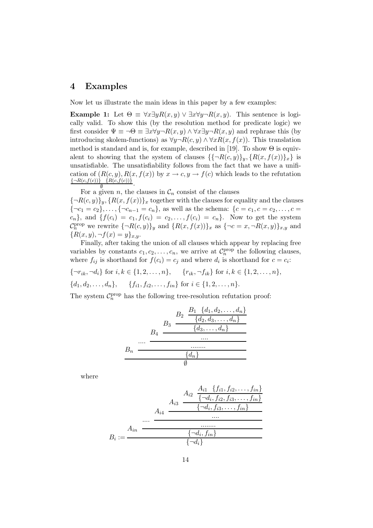#### **4 Examples**

Now let us illustrate the main ideas in this paper by a few examples:

**Example 1:** Let  $\Theta = \forall x \exists y R(x, y) \lor \exists x \forall y \neg R(x, y)$ . This sentence is logically valid. To show this (by the resolution method for predicate logic) we first consider  $\Psi \equiv \neg \Theta \equiv \exists x \forall y \neg R(x, y) \wedge \forall x \exists y \neg R(x, y)$  and rephrase this (by introducing skolem-functions) as  $\forall y \neg R(c, y) \land \forall x R(x, f(x))$ . This translation method is standard and is, for example, described in [19]. To show  $\Theta$  is equivalent to showing that the system of clauses  $\{\{\neg R(c, y)\}_y, \{R(x, f(x))\}_x\}$  is unsatisfiable. The unsatisfiability follows from the fact that we have a unification of  $(R(c, y), R(x, f(x))$  by  $x \to c, y \to f(c)$  which leads to the refutation  $\frac{\{\neg R(c,f(c))\} \ \{R(c,f(c))\}}{\emptyset}.$ 

For a given n, the clauses in  $\mathcal{C}_n$  consist of the clauses  ${\lbrace \neg R(c,y)\rbrace_y, \lbrace R(x,f(x))\rbrace_x}$  together with the clauses for equality and the clauses  ${\lbrace \neg c_1 = c_2 \rbrace}, \ldots, {\lbrace \neg c_{n-1} = c_n \rbrace}$ , as well as the schema:  ${\lbrace c = c_1, c = c_2, \ldots, c = \rbrace}$  $c_n$ , and  $\{f(c_i) = c_1, f(c_i) = c_2, \ldots, f(c_i) = c_n\}$ . Now to get the system  $\mathcal{C}_n^{\text{prop}}$  we rewrite  $\{\neg R(c, y)\}_y$  and  $\{R(x, f(x))\}_x$  as  $\{\neg c = x, \neg R(x, y)\}_{x, y}$  and  ${R(x,y), \neg f(x) = y}_{x,y}.$ 

Finally, after taking the union of all clauses which appear by replacing free variables by constants  $c_1, c_2, \ldots, c_n$ , we arrive at  $\mathcal{C}_n^{\text{prop}}$  the following clauses, where  $f_{ij}$  is shorthand for  $f(c_i) = c_j$  and where  $d_i$  is shorthand for  $c = c_i$ :

 ${\lbrace \neg r_{ik}, \neg d_i \rbrace}$  for  $i, k \in \{1, 2, ..., n\},\qquad \{r_{ik}, \neg f_{ik}\}\$  for  $i, k \in \{1, 2, ..., n\},\$  $\{d_1, d_2, \ldots, d_n\}, \quad \{f_{i1}, f_{i2}, \ldots, f_{in}\} \text{ for } i \in \{1, 2, \ldots, n\}.$ 

The system  $C_n^{\text{prop}}$  has the following tree-resolution refutation proof:

$$
B_3 \frac{B_2 \frac{B_1 \{d_1, d_2, \dots, d_n\}}{\{d_2, d_3, \dots, d_n\}}}{B_4 \frac{\{d_3, \dots, d_n\}}{\dots}}{B_n \frac{\dots}{\{d_n\}}}
$$

where

B<sup>n</sup>

$$
A_{i1} \n \begin{array}{r}\n A_{i2} \n \frac{A_{i1} \{f_{i1}, f_{i2}, \ldots, f_{in}\}}{\{\neg d_i, f_{i2}, f_{i3}, \ldots, f_{in}\}} \\
\frac{A_{i2} \n \frac{\{-d_i, f_{i3}, \ldots, f_{in}\}}{\{\neg d_i, f_{i3}, \ldots, f_{in}\}} \\
\dots \\
B_i := \n \frac{\{\neg d_i, f_{in}\}}{\{\neg d_i\}}\n \end{array}
$$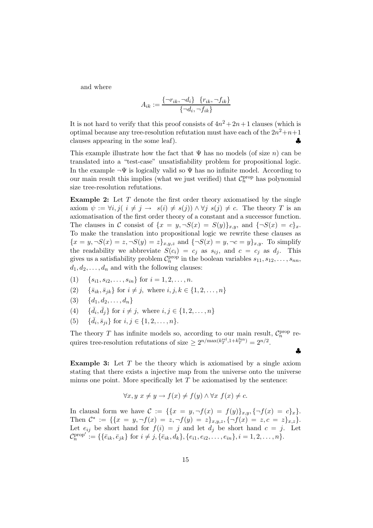and where

$$
A_{ik} := \frac{\{\neg r_{ik}, \neg d_i\} \quad \{r_{ik}, \neg f_{ik}\}}{\{\neg d_i, \neg f_{ik}\}}
$$

It is not hard to verify that this proof consists of  $4n^2 + 2n + 1$  clauses (which is optimal because any tree-resolution refutation must have each of the  $2n^2+n+1$ clauses appearing in the some leaf).  $\bullet$ 

This example illustrate how the fact that  $\Psi$  has no models (of size n) can be translated into a "test-case" unsatisfiability problem for propositional logic. In the example  $\neg \Psi$  is logically valid so  $\Psi$  has no infinite model. According to our main result this implies (what we just verified) that  $C_n^{\text{prop}}$  has polynomial size tree-resolution refutations.

**Example 2:** Let T denote the first order theory axiomatised by the single axiom  $\psi := \forall i, j \, (i \neq j \rightarrow s(i) \neq s(j)) \land \forall j \, s(j) \neq c$ . The theory T is an axiomatisation of the first order theory of a constant and a successor function. The clauses in C consist of  $\{x = y, \neg S(x) = S(y)\}_{x,y}$ , and  $\{\neg S(x) = c\}_x$ . To make the translation into propositional logic we rewrite these clauses as  ${x = y, \neg S(x) = z, \neg S(y) = z}_{x,y,z}$  and  ${\neg S(x) = y, \neg c = y}_{x,y}$ . To simplify the readability we abbreviate  $S(c_i) = c_j$  as  $s_{ij}$ , and  $c = c_j$  as  $d_j$ . This gives us a satisfiability problem  $C_n^{\text{prop}}$  in the boolean variables  $s_{11}, s_{12}, \ldots, s_{nn}$ ,  $d_1, d_2, \ldots, d_n$  and with the following clauses:

- (1) { $s_{i1}, s_{i2},..., s_{in}$ } for  $i = 1, 2,..., n$ .<br>(2) { $\bar{s}_{ik}, \bar{s}_{jk}$ } for  $i \neq j$ , where  $i, j, k \in \{$
- $\{\bar{s}_{ik}, \bar{s}_{jk}\}\$ for  $i \neq j$ , where  $i, j, k \in \{1, 2, ..., n\}$
- (3) { $d_1, d_2, ..., d_n$ }<br>(4) { $\bar{d}_i, \bar{d}_j$ } for  $i \neq$
- (4)  $\{\bar{d}_i, \bar{d}_j\}$  for  $i \neq j$ , where  $i, j \in \{1, 2, ..., n\}$
- (5)  $\{\bar{d}_i, \bar{s}_{ji}\}\$ for  $i, j \in \{1, 2, ..., n\}.$

The theory T has infinite models so, according to our main result,  $C_n^{\text{prop}}$  requires tree-resolution refutations of size  $\geq 2^{n/\max(k_T^{\text{rel}},1+k_T^{\text{fun}})} = 2^{n/2}$ .

♣

**Example 3:** Let T be the theory which is axiomatised by a single axiom stating that there exists a injective map from the universe onto the universe minus one point. More specifically let  $T$  be axiomatised by the sentence:

$$
\forall x, y \ x \neq y \rightarrow f(x) \neq f(y) \land \forall x \ f(x) \neq c.
$$

In clausal form we have  $C := \{ \{x = y, \neg f(x) = f(y)\}_{x,y}, \{\neg f(x) = c\}_x \}.$ Then  $\mathcal{C}^* := \{ \{x = y, \neg f(x) = z, \neg f(y) = z \}_{x,y,z}, \{\neg f(x) = z, c = z \}_{x,z} \}.$ Let  $e_{ij}$  be short hand for  $f(i) = j$  and let  $d_j$  be short hand  $c = j$ . Let  $\mathcal{C}_n^{\text{prop'}} := \{ \{ \bar{e}_{ik}, \bar{e}_{jk} \} \text{ for } i \neq j, \{ \bar{e}_{ik}, d_k \}, \{ e_{i1}, e_{i2}, \dots, e_{in} \}, i = 1, 2, \dots, n \}.$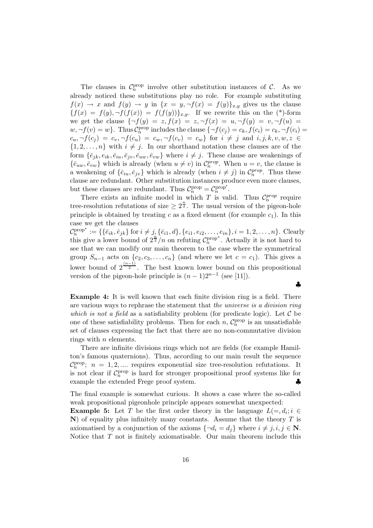The clauses in  $C_n^{\text{prop}}$  involve other substitution instances of C. As we already noticed these substitutions play no role. For example substituting  $f(x) \to x$  and  $f(y) \to y$  in  $\{x = y, \neg f(x) = f(y)\}_{x,y}$  gives us the clause  ${f(x) = f(y), \neg f(f(x)) = f(f(y))}_{x,y}$ . If we rewrite this on the (\*)-form we get the clause  $\{\neg f(y) = z, f(x) = z, \neg f(x) = u, \neg f(y) = v, \neg f(u) = v\}$  $w, \neg f(v) = w$ . Thus  $C_n^{\text{prop}}$  includes the clause  $\{\neg f(c_j) = c_k, f(c_i) = c_k, \neg f(c_i) = c_k\}$ .  $c_u, \neg f(c_j) = c_v, \neg f(c_u) = c_w, \neg f(c_v) = c_w$  for  $i \neq j$  and  $i, j, k, v, w, z \in$  $\{1, 2, \ldots, n\}$  with  $i \neq j$ . In our shorthand notation these clauses are of the form  $\{\bar{e}_{ik}, e_{ik}, \bar{e}_{iu}, \bar{e}_{iv}, \bar{e}_{uw}, \bar{e}_{vw}\}$  where  $i \neq j$ . These clause are weakenings of  $\{\bar{e}_{uw}, \bar{e}_{vw}\}\$  which is already (when  $u \neq v$ ) in  $\mathcal{C}_n^{prop}$ . When  $u = v$ , the clause is a weakening of  $\{\bar{e}_{iu}, \bar{e}_{jv}\}\$  which is already (when  $i \neq j$ ) in  $\mathcal{C}_n^{prop}$ . Thus these clause are redundant. Other substitution instances produce even more clauses, but these clauses are redundant. Thus  $C_n^{\text{prop}} = C_n^{\text{prop}}'$ .

There exists an infinite model in which T is valid. Thus  $\mathcal{C}_n^{prop}$  require tree-resolution refutations of size  $\geq 2^{\frac{n}{2}}$ . The usual version of the pigeon-hole principle is obtained by treating c as a fixed element (for example  $c_1$ ). In this case we get the clauses

 $\mathcal{C}_n^{\text{prop*}} := \{ \{ \bar{e}_{ik}, \bar{e}_{jk} \} \text{ for } i \neq j, \{ \bar{e}_{i1}, d \}, \{ e_{i1}, e_{i2}, \dots, e_{in} \}, i = 1, 2, \dots, n \}.$  Clearly this give a lower bound of  $2^{\frac{n}{2}}/n$  on refuting  $\mathcal{C}_n^{\text{prop*}}$ . Actually it is not hard to see that we can modify our main theorem to the case where the symmetrical group  $S_{n-1}$  acts on  $\{c_2, c_3, \ldots, c_n\}$  (and where we let  $c = c_1$ ). This gives a lower bound of  $2^{\frac{(n-1)}{2}}$ . The best known lower bound on this propositional version of the pigeon-hole principle is  $(n-1)2^{n-1}$  (see [11]).

**Example 4:** It is well known that each finite division ring is a field. There are various ways to rephrase the statement that *the universe is a division ring which is not a field* as a satisfiability problem (for predicate logic). Let  $\mathcal C$  be one of these satisfiability problems. Then for each  $n$ ,  $C_n^{\text{prop}}$  is an unsatisfiable set of clauses expressing the fact that there are no non-commutative division rings with  $n$  elements.

There are infinite divisions rings which not are fields (for example Hamilton's famous quaternions). Thus, according to our main result the sequence  $\mathcal{C}_n^{\text{prop}}$ ;  $n = 1, 2, \dots$  requires exponential size tree-resolution refutations. It is not clear if  $C_n^{\text{prop}}$  is hard for stronger propositional proof systems like for example the extended Frege proof system. <br>◆

The final example is somewhat curious. It shows a case where the so-called weak propositional pigeonhole principle appears somewhat unexpected:

**Example 5:** Let T be the first order theory in the language  $L(=, d_i; i \in$ **N**) of equality plus infinitely many constants. Assume that the theory T is axiomatised by a conjunction of the axioms  $\{\neg d_i = d_j\}$  where  $i \neq j, i, j \in \mathbb{N}$ . Notice that  $T$  not is finitely axiomatisable. Our main theorem include this

♣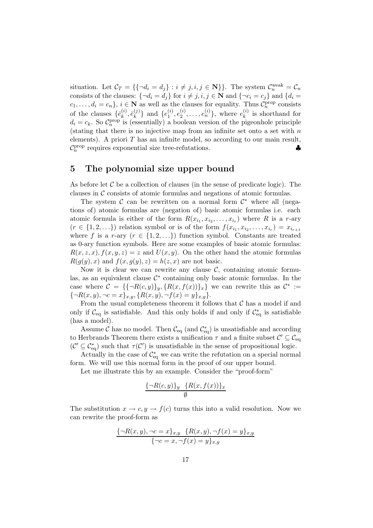situation. Let  $\mathcal{C}_T = \{\{\neg d_i = d_j\} : i \neq j, i, j \in \mathbb{N}\}\}\.$  The system  $\mathcal{C}_n^{\text{weak}} = \mathcal{C}_n$ consists of the clauses:  $\{\neg d_i = d_j\}$  for  $i \neq j, i, j \in \mathbb{N}$  and  $\{\neg c_i = c_j\}$  and  $\{d_i =$  $c_1,\ldots,d_i=c_n\}, i\in\mathbf{N}$  as well as the clauses for equality. Thus  $C_n^{\text{prop}}$  consists of the clauses  $\{\bar{e}_k^{(i)}, \bar{e}_k^{(j)}\}$  and  $\{e_1^{(i)}, e_2^{(i)}, \ldots, e_n^{(i)}\}$ , where  $e_k^{(i)}$  is shorthand for  $d_i = c_k$ . So  $C_n^{\text{prop}}$  is (essentially) a boolean version of the pigeonhole principle (stating that there is no injective map from an infinite set onto a set with  $n$ elements). A priori  $T$  has an infinite model, so according to our main result,  $\mathcal{C}_n^{\text{prop}}$  requires exponential size tree-refutations.

#### **5 The polynomial size upper bound**

As before let  $\mathcal C$  be a collection of clauses (in the sense of predicate logic). The clauses in C consists of atomic formulas and negations of atomic formulas.

The system  $\mathcal C$  can be rewritten on a normal form  $\mathcal C^*$  where all (negations of) atomic formulas are (negation of) basic atomic formulas i.e. each atomic formula is either of the form  $R(x_{i_1}, x_{i_2},...,x_{i_r})$  where R is a r-ary  $(r \in \{1, 2, \ldots\})$  relation symbol or is of the form  $f(x_{i_1}, x_{i_2}, \ldots, x_{i_r}) = x_{i_{r+1}}$ where f is a r-ary  $(r \in \{1, 2, ...\})$  function symbol. Constants are treated as 0-ary function symbols. Here are some examples of basic atomic formulas:  $R(x, z, x), f(x, y, z) = z$  and  $U(x, y)$ . On the other hand the atomic formulas  $R(q(y), x)$  and  $f(x, q(y), z) = h(z, x)$  are not basic.

Now it is clear we can rewrite any clause  $\mathcal{C}$ , containing atomic formulas, as an equivalent clause  $\mathcal{C}^*$  containing only basic atomic formulas. In the case where  $\mathcal{C} = \{\{\neg R(c, y)\}_y, \{R(x, f(x))\}_x\}$  we can rewrite this as  $\mathcal{C}^* :=$  ${\lbrace \neg R(x,y), \neg c=x \rbrace_{x,y}, \lbrace R(x,y), \neg f(x)=y \rbrace_{x,y}}.$ 

From the usual completeness theorem it follows that  $\mathcal C$  has a model if and only if  $C_{eq}$  is satisfiable. And this only holds if and only if  $C_{eq}^*$  is satisfiable (has a model) (has a model).

Assume C has no model. Then  $\mathcal{C}_{eq}$  (and  $\mathcal{C}_{eq}^*$ ) is unsatisfiable and according<br>Jorbrands Theorem there exists a unification  $\tau$  and a finite subset  $\mathcal{C}' \subset \mathcal{C}$ to Herbrands Theorem there exists a unification  $\tau$  and a finite subset  $\mathcal{C}' \subseteq \mathcal{C}_{eq}$  $(C' \subseteq C_{eq}^*)$  such that  $\tau(C')$  is unsatisfiable in the sense of propositional logic.

Actually in the case of  $\mathcal{C}_{eq}^*$  we can write the refutation on a special normal normal  $W_0$  will use this normal form in the proof of our upper bound form. We will use this normal form in the proof of our upper bound.

Let me illustrate this by an example. Consider the "proof-form"

$$
\frac{\{-R(c,y)\}_y \quad \{R(x,f(x))\}_x}{\emptyset}
$$

The substitution  $x \to c, y \to f(c)$  turns this into a valid resolution. Now we can rewrite the proof-form as

$$
\frac{\{\neg R(x,y), \neg c = x\}_{x,y} \ \{R(x,y), \neg f(x) = y\}_{x,y}}{\{\neg c = x, \neg f(x) = y\}_{x,y}}
$$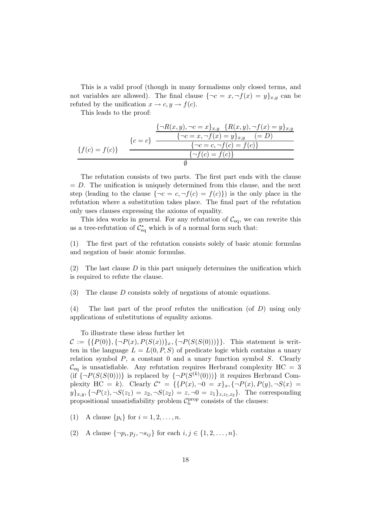This is a valid proof (though in many formalisms only closed terms, and not variables are allowed). The final clause  $\{\neg c = x, \neg f(x) = y\}_{x,y}$  can be refuted by the unification  $x \to c, y \to f(c)$ .

This leads to the proof:

$$
\{c = c\} \frac{\{\neg R(x, y), \neg c = x\}_{x, y} \quad \{R(x, y), \neg f(x) = y\}_{x, y}}{\{\neg c = x, \neg f(x) = y\}_{x, y} \quad (= D)}
$$
\n
$$
\{f(c) = f(c)\}
$$
\n
$$
\{f(c) = f(c)\}
$$
\n
$$
\emptyset
$$

The refutation consists of two parts. The first part ends with the clause  $= D$ . The unification is uniquely determined from this clause, and the next step (leading to the clause  $\{\neg c = c, \neg f(c) = f(c)\}\)$  is the only place in the refutation where a substitution takes place. The final part of the refutation only uses clauses expressing the axioms of equality.

This idea works in general. For any refutation of  $\mathcal{C}_{eq}$ , we can rewrite this as a tree-refutation of  $\mathcal{C}_{\mathrm{eq}}^{*}$  which is of a normal form such that:

(1) The first part of the refutation consists solely of basic atomic formulas and negation of basic atomic formulas.

(2) The last clause  $D$  in this part uniquely determines the unification which is required to refute the clause.

(3) The clause D consists solely of negations of atomic equations.

(4) The last part of the proof refutes the unification (of D) using only applications of substitutions of equality axioms.

To illustrate these ideas further let

 $C := \{ \{P(0)\}, \{\neg P(x), P(S(x))\}_x, \{\neg P(S(S(0)))\} \}.$  This statement is written in the language  $L = L(0, P, S)$  of predicate logic which contains a unary relation symbol  $P$ , a constant 0 and a unary function symbol  $S$ . Clearly  $\mathcal{C}_{\text{eq}}$  is unsatisfiable. Any refutation requires Herbrand complexity HC = 3 (if  $\{\neg P(S(S(0)))\}$  is replaced by  $\{\neg P(S^{(k)}(0)))\}$  it requires Herbrand Complexity HC = k). Clearly  $C^* = \{ \{ P(x), \neg 0 = x \}_x, \{ \neg P(x), P(y), \neg S(x) = x \}$  $y\}_{x,y}, \{\neg P(z), \neg S(z_1) = z_2, \neg S(z_2) = z, \neg 0 = z_1\}_{z,z_1,z_2}.$  The corresponding propositional unsatisfiability problem  $C_n^{\text{prop}}$  consists of the clauses:

- (1) A clause  $\{p_i\}$  for  $i = 1, 2, ..., n$ .
- (2) A clause  $\{\neg p_i, p_j, \neg s_{ij}\}\$ for each  $i, j \in \{1, 2, ..., n\}$ .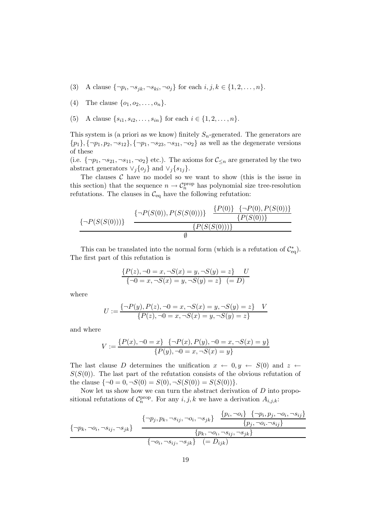- (3) A clause  $\{\neg p_i, \neg s_{jk}, \neg s_{ki}, \neg o_j\}$  for each  $i, j, k \in \{1, 2, ..., n\}$ .
- (4) The clause  $\{o_1, o_2, ..., o_n\}.$
- (5) A clause  $\{s_{i1}, s_{i2},...,s_{in}\}$  for each  $i \in \{1, 2, ..., n\}$ .

This system is (a priori as we know) finitely  $S_n$ -generated. The generators are  $\{p_1\}, \{\neg p_1, p_2, \neg s_{12}\}, \{\neg p_1, \neg s_{23}, \neg s_{31}, \neg o_2\}$  as well as the degenerate versions of these

(i.e.  $\{\neg p_1, \neg s_{21}, \neg s_{11}, \neg o_2\}$  etc.). The axioms for  $\mathcal{C}_{\leq n}$  are generated by the two abstract generators  $\vee_j \{o_j\}$  and  $\vee_j \{s_{1j}\}.$ 

The clauses  $C$  have no model so we want to show (this is the issue in this section) that the sequence  $n \to \mathcal{C}_n^{\text{prop}}$  has polynomial size tree-resolution refutations. The clauses in  $\mathcal{C}_{eq}$  have the following refutation:

$$
\{\neg P(S(S(0)))\} \quad \frac{\{\neg P(S(0)), P(S(S(0)))\} \quad \{P(0)\} \quad \{\neg P(0), P(S(0))\}}{\{P(S(S(0)))\}}
$$
\n
$$
\emptyset
$$

This can be translated into the normal form (which is a refutation of  $\mathcal{C}_{eq}^*$ ). The first part of this refutation is

$$
\{P(z), \neg 0 = x, \neg S(x) = y, \neg S(y) = z\} \quad U
$$
  

$$
\{\neg 0 = x, \neg S(x) = y, \neg S(y) = z\} \quad (= D)
$$

where

$$
U:=\frac{\{\neg P(y), P(z), \neg 0=x, \neg S(x)=y, \neg S(y)=z\} \quad V}{\{P(z), \neg 0=x, \neg S(x)=y, \neg S(y)=z\}}
$$

and where

$$
V := \frac{\{P(x), \neg 0 = x\} \quad \{\neg P(x), P(y), \neg 0 = x, \neg S(x) = y\}}{\{P(y), \neg 0 = x, \neg S(x) = y\}}
$$

The last clause D determines the unification  $x \leftarrow 0, y \leftarrow S(0)$  and  $z \leftarrow$  $S(S(0))$ . The last part of the refutation consists of the obvious refutation of the clause  $\{\neg 0=0, \neg S(0)=S(0), \neg S(S(0))=S(S(0))\}.$ 

Now let us show how we can turn the abstract derivation of  $D$  into propositional refutations of  $C_n^{\text{prop}}$ . For any  $i, j, k$  we have a derivation  $A_{i,j,k}$ :

$$
\{-p_k, \neg o_i, \neg s_{ij}, \neg s_{jk}\} \quad \frac{\{\neg p_j, p_k, \neg s_{ij}, \neg o_i, \neg s_{jk}\} \quad \frac{\{p_i, \neg o_i\} \quad \{\neg p_i, p_j, \neg o_i, \neg s_{ij}\}}{\{p_j, \neg o_i, \neg s_{ij}\}}}{\{\neg o_i, \neg s_{ij}, \neg s_{jk}\}} \quad \frac{\{p_k, \neg o_i, \neg s_{ij}, \neg s_{jk}\}}{(\equiv D_{ijk})}
$$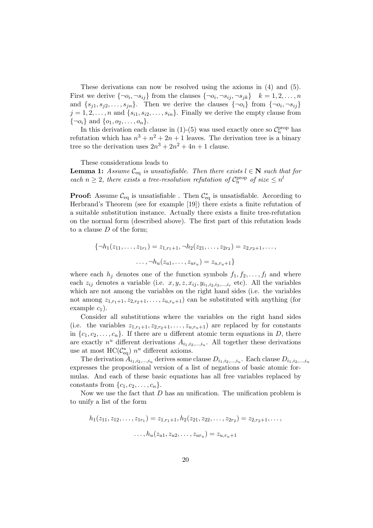These derivations can now be resolved using the axioms in (4) and (5). First we derive  $\{\neg o_i, \neg s_{ij}\}$  from the clauses  $\{\neg o_i, \neg s_{ij}, \neg s_{ik}\}\; k = 1, 2, \ldots, n$ and  $\{s_{i1}, s_{i2},...,s_{in}\}.$  Then we derive the clauses  $\{\neg o_i\}$  from  $\{\neg o_i, \neg s_{ij}\}\$  $j = 1, 2, \ldots, n$  and  $\{s_{i1}, s_{i2}, \ldots, s_{in}\}.$  Finally we derive the empty clause from  $\{\neg o_i\}$  and  $\{o_1, o_2, \ldots, o_n\}.$ 

In this derivation each clause in  $(1)-(5)$  was used exactly once so  $\mathcal{C}_n^{\text{prop}}$  has refutation which has  $n^3 + n^2 + 2n + 1$  leaves. The derivation tree is a binary tree so the derivation uses  $2n^3 + 2n^2 + 4n + 1$  clause.

These considerations leads to

**Lemma 1:** *Assume*  $\mathcal{C}_{eq}$  *is unsatisfiable. Then there exists*  $l \in \mathbb{N}$  *such that for each*  $n \geq 2$ *, there exists a tree-resolution refutation of*  $C_n^{\text{prop}}$  *of size*  $\leq n^l$ 

**Proof:** Assume  $\mathcal{C}_{eq}$  is unsatisfiable . Then  $\mathcal{C}_{eq}^*$  is unsatisfiable. According to Horbrand's Theorem (see for example [10]) there exists a finite refutation of Herbrand's Theorem (see for example [19]) there exists a finite refutation of a suitable substitution instance. Actually there exists a finite tree-refutation on the normal form (described above). The first part of this refutation leads to a clause  $D$  of the form;

$$
\{\neg h_1(z_{11},\ldots,z_{1r_1})=z_{1,r_1+1},\neg h_2(z_{21},\ldots,z_{2r_2})=z_{2,r_2+1},\ldots,\ldots,\neg h_u(z_{u1},\ldots,z_{ur_u})=z_{u,r_u+1}\}
$$

where each  $h_i$  denotes one of the function symbols  $f_1, f_2, \ldots, f_l$  and where each  $z_{ij}$  denotes a variable (i.e.  $x, y, z, x_{ij}, y_{i_1,i_2,i_3,\dots,i_r}$  etc). All the variables which are not among the variables on the right hand sides (i.e. the variables not among  $z_{1,r_1+1}, z_{2,r_2+1}, \ldots, z_{u,r_u+1}$  can be substituted with anything (for example  $c_1$ ).

Consider all substitutions where the variables on the right hand sides (i.e. the variables  $z_{1,r_1+1}, z_{2,r_2+1}, \ldots, z_{u,r_u+1}$ ) are replaced by for constants in  $\{c_1, c_2, \ldots, c_n\}$ . If there are u different atomic term equations in D, there are exactly  $n^u$  different derivations  $A_{i_1,i_2,\dots,i_u}$ . All together these derivations use at most  $HC(C_{eq}^*)$   $n^u$  different axioms.<br>The derivation  $\Lambda$ 

The derivation  $A_{i_1,i_2,...,i_u}$  derives some clause  $D_{i_1,i_2,...,i_u}$ . Each clause  $D_{i_1,i_2,...,i_u}$ expresses the propositional version of a list of negations of basic atomic formulas. And each of these basic equations has all free variables replaced by constants from  $\{c_1, c_2, \ldots, c_n\}.$ 

Now we use the fact that D has an unification. The unification problem is to unify a list of the form

$$
h_1(z_{11}, z_{12}, \dots, z_{1r_1}) = z_{1,r_1+1}, h_2(z_{21}, z_{22}, \dots, z_{2r_2}) = z_{2,r_2+1}, \dots,
$$
  

$$
\dots, h_u(z_{u1}, z_{u2}, \dots, z_{ur_u}) = z_{u,r_u+1}
$$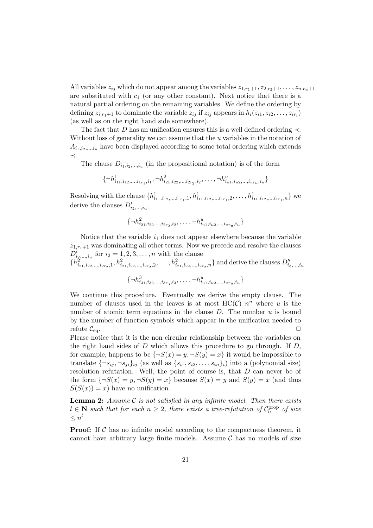All variables  $z_{ij}$  which do not appear among the variables  $z_{1,r_1+1}, z_{2,r_2+1}, \ldots, z_{u,r_u+1}$ are substituted with  $c_1$  (or any other constant). Next notice that there is a natural partial ordering on the remaining variables. We define the ordering by defining  $z_{i,r_1+1}$  to dominate the variable  $z_{ij}$  if  $z_{ij}$  appears in  $h_i(z_{i1}, z_{i2}, \ldots, z_{ir_i})$ (as well as on the right hand side somewhere).

The fact that D has an unification ensures this is a well defined ordering  $\prec$ . Without loss of generality we can assume that the u variables in the notation of  $A_{i_1,i_2,...,i_n}$  have been displayed according to some total ordering which extends ≺.

The clause  $D_{i_1,i_2,...,i_u}$  (in the propositional notation) is of the form

$$
\{\neg h_{i_{11},i_{12},\dots,i_{1r_1},i_1}^1, \neg h_{i_{21},i_{22},\dots,i_{2r_2},i_2}^2, \dots, \neg h_{i_{u1},i_{u2},\dots,i_{uru},i_u}^u\}
$$

Resolving with the clause  $\{h_{i_{11},i_{12},...,i_{1r_1},1}^1, h_{i_{11},i_{12},...,i_{1r_1},2}^1, \ldots, h_{i_{11},i_{12},...,i_{1r_1},n}^1\}$  we derive the clauses  $D'_{i_2,\dots,i_u}$ .

$$
\{\neg h_{i_{21},i_{22},...,i_{2r_2},i_2}^2,\ldots,\neg h_{i_{u1},i_{u2},...,i_{ur_u},i_u}^u\}
$$

Notice that the variable  $i_1$  does not appear elsewhere because the variable  $z_{1,r_1+1}$  was dominating all other terms. Now we precede and resolve the clauses  $D'_{i_2,...,i_u}$  for  $i_2 = 1, 2, 3, ..., n$  with the clause<br>  $\{h_{i_{21},i_{22},...,i_{2r_2},1}^2, h_{i_{21},i_{22},...,i_{2r_2},2}^2, \ldots, h_{i_{21},i_{22},...,i_{2r_2},n}^2\}$  and derive the clauses  $D''_{i_3,...,i_u}$ 

$$
\{\neg h_{i_{31},i_{32},...,i_{3r_3},i_3}^3,\ldots,\neg h_{i_{u1},i_{u2},...,i_{ur_u},i_u}^u\}
$$

We continue this procedure. Eventually we derive the empty clause. The number of clauses used in the leaves is at most  $HC(C)$   $n^u$  where u is the number of atomic term equations in the clause  $D$ . The number  $u$  is bound by the number of function symbols which appear in the unification needed to refute  $C_{eq}$ .  $\square$ <br>Please notice that it is the non circular relationship between the variables on

the right hand sides of  $D$  which allows this procedure to go through. If  $D$ , for example, happens to be  $\{\neg S(x) = y, \neg S(y) = x\}$  it would be impossible to translate  $\{\neg s_{ij}, \neg s_{ji}\}_{ij}$  (as well as  $\{s_{i1}, s_{i2}, \ldots, s_{in}\}_{i}$ ) into a (polynomial size) resolution refutation. Well, the point of course is, that D can never be of the form  $\{\neg S(x) = y, \neg S(y) = x\}$  because  $S(x) = y$  and  $S(y) = x$  (and thus  $S(S(x)) = x$  have no unification.

**Lemma 2:** *Assume* C *is not satisfied in any infinite model. Then there exists*  $l \in \mathbb{N}$  *such that for each*  $n \geq 2$ , *there exists a tree-refutation of*  $C_n^{\text{prop}}$  *of size*  $\leq n^l$ 

**Proof:** If  $\mathcal C$  has no infinite model according to the compactness theorem, it cannot have arbitrary large finite models. Assume  $C$  has no models of size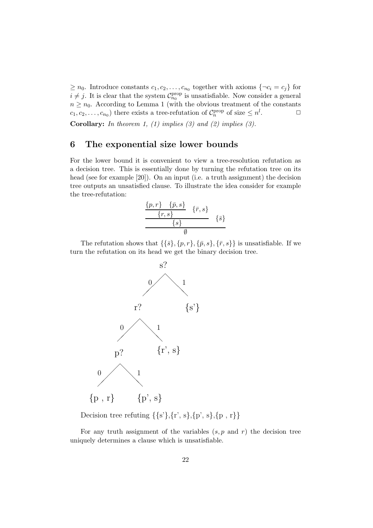$\geq n_0$ . Introduce constants  $c_1, c_2, \ldots, c_{n_0}$  together with axioms  $\{\neg c_i = c_j\}$  for  $i \neq j$ . It is clear that the system  $\mathcal{C}_{n_0}^{\text{prop}}$  is unsatisfiable. Now consider a general  $n \geq n_0$ . According to Lemma 1 (with the obvious treatment of the constants  $c_1, c_2, \ldots, c_{n_0}$ ) there exists a tree-refutation of  $C_n^{\text{prop}}$  of size  $\leq n^l$  $\Box$ 

**Corollary:** *In theorem 1, (1) implies (3) and (2) implies (3).*

#### **6 The exponential size lower bounds**

For the lower bound it is convenient to view a tree-resolution refutation as a decision tree. This is essentially done by turning the refutation tree on its head (see for example [20]). On an input (i.e. a truth assignment) the decision tree outputs an unsatisfied clause. To illustrate the idea consider for example the tree-refutation:

$$
\frac{\{p,r\} \quad \{\bar{p},s\}}{\{s\}} \quad \{\bar{r},s\}} \quad \{\bar{s}\}
$$

The refutation shows that  $\{\{\bar{s}\},\{p,r\},\{\bar{p},s\},\{\bar{r},s\}\}\$ is unsatisfiable. If we turn the refutation on its head we get the binary decision tree.



Decision tree refuting  $\{\{s'\},\{r',\,s\},\{p\,,\,s\},\{p\ ,\,r\}\}$ 

For any truth assignment of the variables  $(s, p \text{ and } r)$  the decision tree uniquely determines a clause which is unsatisfiable.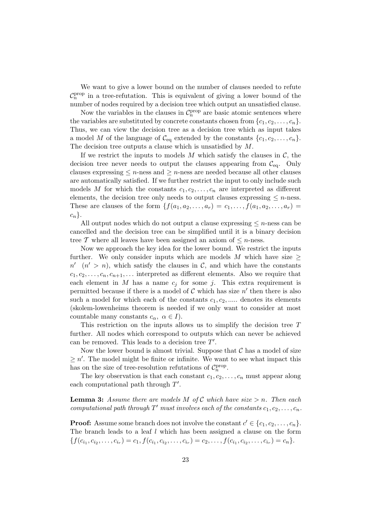We want to give a lower bound on the number of clauses needed to refute  $\mathcal{C}_n^{\text{prop}}$  in a tree-refutation. This is equivalent of giving a lower bound of the number of nodes required by a decision tree which output an unsatisfied clause.

Now the variables in the clauses in  $C_n^{\text{prop}}$  are basic atomic sentences where the variables are substituted by concrete constants chosen from  $\{c_1, c_2, \ldots, c_n\}$ . Thus, we can view the decision tree as a decision tree which as input takes a model M of the language of  $\mathcal{C}_{eq}$  extended by the constants  $\{c_1, c_2, \ldots, c_n\}$ . The decision tree outputs a clause which is unsatisfied by  $M$ .

If we restrict the inputs to models  $M$  which satisfy the clauses in  $C$ , the decision tree never needs to output the clauses appearing from  $C_{eq}$ . Only clauses expressing  $\leq n$ -ness and  $\geq n$ -ness are needed because all other clauses are automatically satisfied. If we further restrict the input to only include such models M for which the constants  $c_1, c_2, \ldots, c_n$  are interpreted as different elements, the decision tree only needs to output clauses expressing  $\leq n$ -ness. These are clauses of the form  $\{f(a_1, a_2,..., a_r) = c_1,..., f(a_1, a_2,..., a_r) =$  $c_n$ .

All output nodes which do not output a clause expressing  $\leq n$ -ness can be cancelled and the decision tree can be simplified until it is a binary decision tree T where all leaves have been assigned an axiom of  $\leq n$ -ness.

Now we approach the key idea for the lower bound. We restrict the inputs further. We only consider inputs which are models M which have size  $\geq$  $n'(n' > n)$ , which satisfy the clauses in C, and which have the constants  $c_1, c_2, \ldots, c_n, c_{n+1}, \ldots$  interpreted as different elements. Also we require that each element in M has a name  $c_i$  for some j. This extra requirement is permitted because if there is a model of  $C$  which has size  $n'$  then there is also such a model for which each of the constants  $c_1, c_2, \dots$  denotes its elements (skolem-lowenheims theorem is needed if we only want to consider at most countable many constants  $c_{\alpha}, \ \alpha \in I$ ).

This restriction on the inputs allows us to simplify the decision tree  $T$ further. All nodes which correspond to outputs which can never be achieved can be removed. This leads to a decision tree  $T'$ .

Now the lower bound is almost trivial. Suppose that  $\mathcal C$  has a model of size  $\geq n'$ . The model might be finite or infinite. We want to see what impact this has on the size of tree-resolution refutations of  $C_n^{\text{prop}}$ .

The key observation is that each constant  $c_1, c_2, \ldots, c_n$  must appear along each computational path through  $T'$ .

**Lemma 3:** Assume there are models M of C which have size  $> n$ . Then each *computational path through*  $T'$  *must involves each of the constants*  $c_1, c_2, \ldots, c_n$ .

**Proof:** Assume some branch does not involve the constant  $c' \in \{c_1, c_2, \ldots, c_n\}$ . The branch leads to a leaf l which has been assigned a clause on the form  ${f(c_{i_1}, c_{i_2}, \ldots, c_{i_r}) = c_1, f(c_{i_1}, c_{i_2}, \ldots, c_{i_r}) = c_2, \ldots, f(c_{i_1}, c_{i_2}, \ldots, c_{i_r}) = c_n}.$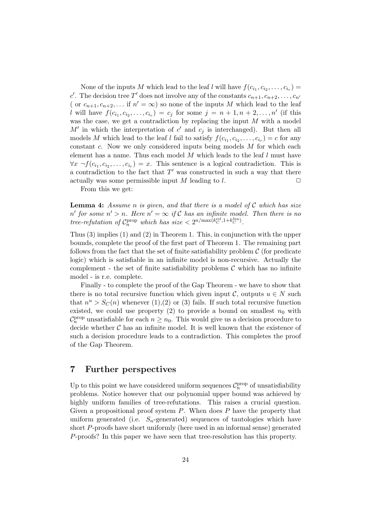None of the inputs M which lead to the leaf l will have  $f(c_{i_1}, c_{i_2}, \ldots, c_{i_r}) =$ c'. The decision tree T' does not involve any of the constants  $c_{n+1}, c_{n+2}, \ldots, c_n$ ( or  $c_{n+1}, c_{n+2}, \ldots$  if  $n' = \infty$ ) so none of the inputs M which lead to the leaf l will have  $f(c_{i_1}, c_{i_2},...,c_{i_r}) = c_j$  for some  $j = n + 1, n + 2,...,n'$  (if this was the case, we get a contradiction by replacing the input M with a model  $M'$  in which the interpretation of c' and  $c_j$  is interchanged). But then all models M which lead to the leaf l fail to satisfy  $f(c_{i_1}, c_{i_2}, \ldots, c_{i_r}) = c$  for any constant  $c$ . Now we only considered inputs being models  $M$  for which each element has a name. Thus each model  $M$  which leads to the leaf  $l$  must have  $\forall x \ \neg f(c_i, c_{i_2}, \ldots, c_{i_r}) = x$ . This sentence is a logical contradiction. This is a contradiction to the fact that  $T'$  was constructed in such a way that there actually was some permissible input M leading to l.  $\Box$ 

From this we get:

**Lemma 4:** *Assume* n *is given, and that there is a model of* C *which has size*  $n'$  for some  $n' > n$ . Here  $n' = \infty$  if C has an infinite model. Then there is no *tree-refutation of*  $C_n^{\text{prop}}$  *which has size*  $\lt 2^{n/\max(k_C^{\text{rel}}, 1+k_C^{\text{fun}})}$ .

Thus (3) implies (1) and (2) in Theorem 1. This, in conjunction with the upper bounds, complete the proof of the first part of Theorem 1. The remaining part follows from the fact that the set of finite satisfiability problem  $\mathcal C$  (for predicate logic) which is satisfiable in an infinite model is non-recursive. Actually the complement - the set of finite satisfiability problems  $\mathcal C$  which has no infinite model - is r.e. complete.

Finally - to complete the proof of the Gap Theorem - we have to show that there is no total recursive function which given input C, outputs  $u \in N$  such that  $n^u > S_C(n)$  whenever (1),(2) or (3) fails. If such total recursive function existed, we could use property (2) to provide a bound on smallest  $n_0$  with  $C_p^{\text{prop}}$  unsatisfiable for each  $n \geq n_0$ . This would give us a decision procedure to  $d_{\text{noise}}$  to  $C_p$  because infinite model. It is well linear that the eviatings of decide whether  $C$  has an infinite model. It is well known that the existence of such a decision procedure leads to a contradiction. This completes the proof of the Gap Theorem.

#### **7 Further perspectives**

Up to this point we have considered uniform sequences  $\mathcal{C}_n^{\text{prop}}$  of unsatisfiability problems. Notice however that our polynomial upper bound was achieved by highly uniform families of tree-refutations. This raises a crucial question. Given a propositional proof system  $P$ . When does  $P$  have the property that uniform generated (i.e.  $S_n$ -generated) sequences of tautologies which have short P-proofs have short uniformly (here used in an informal sense) generated P-proofs? In this paper we have seen that tree-resolution has this property.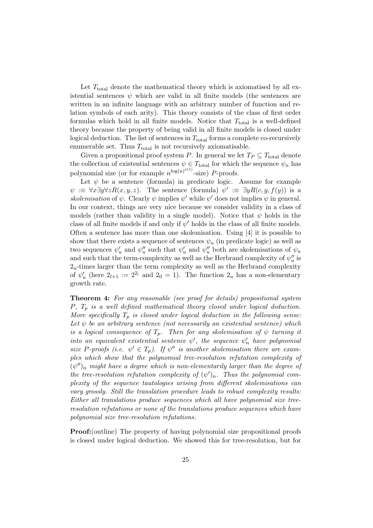Let  $T_{total}$  denote the mathematical theory which is axiomatised by all existential sentences  $\psi$  which are valid in all finite models (the sentences are written in an infinite language with an arbitrary number of function and relation symbols of each arity). This theory consists of the class of first order formulas which hold in all finite models. Notice that  $T_{total}$  is a well-defined theory because the property of being valid in all finite models is closed under logical deduction. The list of sentences in  $T<sub>total</sub>$  forms a complete co-recursively enumerable set. Thus  $T_{total}$  is not recursively axiomatisable.

Given a propositional proof system P. In general we let  $T_P \subseteq T_{total}$  denote the collection of existential sentences  $\psi \in T_{\text{total}}$  for which the sequence  $\psi_n$  has polynomial size (or for example  $n^{\log(n)^{o(1)}}$ -size) P-proofs.

Let  $\psi$  be a sentence (formula) in predicate logic. Assume for example  $\psi := \forall x \exists y \forall z R(x, y, z)$ . The sentence (formula)  $\psi' := \exists y R(c, y, f(y))$  is a *skolemisation* of  $\psi$ . Clearly  $\psi$  implies  $\psi'$  while  $\psi'$  does not implies  $\psi$  in general. In our context, things are very nice because we consider validity in a class of models (rather than validity in a single model). Notice that  $\psi$  holds in the class of all finite models if and only if  $\psi'$  holds in the class of all finite models. Often a sentence has more than one skolemisation. Using [4] it is possible to show that there exists a sequence of sentences  $\psi_u$  (in predicate logic) as well as two sequences  $\psi'_u$  and  $\psi''_u$  such that  $\psi'_u$  and  $\psi''_u$  both are skolemisations of  $\psi_u$ and such that the term-complexity as well as the Herbrand complexity of  $\psi_u''$  is  $2<sub>u</sub>$ -times larger than the term complexity as well as the Herbrand complexity of  $\psi'_u$  (here  $2_{l+1} := 2^{2_l}$  and  $2_0 = 1$ ). The function  $2_u$  has a non-elementary growth rate.

**Theorem 4:** *For any reasonable (see proof for details) propositional system* P*,* T<sup>p</sup> *is a well defined mathematical theory closed under logical deduction. More specifically*  $T_p$  *is closed under logical deduction in the following sense:* Let  $\psi$  be an arbitrary sentence (not necessarily an existential sentence) which *is a logical consequence of*  $T_p$ *. Then for any skolemisation of*  $\psi$  *turning it into an equivalent existential sentence*  $\psi'$ , the sequence  $\psi'_n$  have polynomial *size* P-proofs (*i.e.*  $\psi' \in T_p$ ). If  $\psi''$  *is another skolemisation there are examples which show that the polynomial tree-resolution refutation complexity of*  $(\psi'')_n$  *might have a degree which is non-elementarily larger than the degree of the tree-resolution refutation complexity of*  $(\psi')_n$ . Thus the polynomial com*plexity of the sequence tautologies arising from different skolemisations can vary grossly. Still the translation procedure leads to robust complexity results: Either all translations produce sequences which all have polynomial size treeresolution refutations or none of the translations produce sequences which have polynomial size tree-resolution refutations.*

**Proof:**(outline) The property of having polynomial size propositional proofs is closed under logical deduction. We showed this for tree-resolution, but for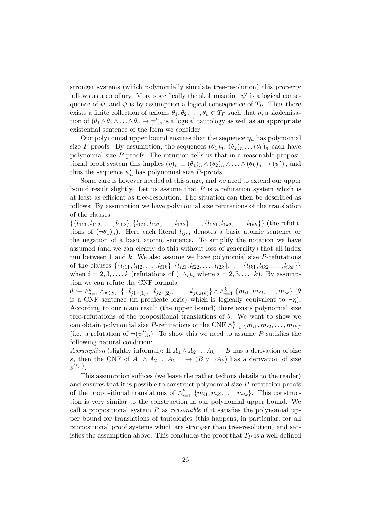stronger systems (which polynomially simulate tree-resolution) this property follows as a corollary. More specifically the skolemisation  $\psi'$  is a logical consequence of  $\psi$ , and  $\psi$  is by assumption a logical consequence of  $T_P$ . Thus there exists a finite collection of axioms  $\theta_1, \theta_2, \ldots, \theta_u \in T_P$  such that  $\eta$ , a skolemisation of  $(\theta_1 \wedge \theta_2 \wedge \ldots \wedge \theta_u \rightarrow \psi')$ , is a logical tautology as well as an appropriate existential sentence of the form we consider.

Our polynomial upper bound ensures that the sequence  $\eta_n$  has polynomial size P-proofs. By assumption, the sequences  $(\theta_1)_n$ ,  $(\theta_2)_n$ ... $(\theta_k)_n$  each have polynomial size P-proofs. The intuition tells us that in a reasonable propositional proof system this implies  $(\eta)_n \equiv (\theta_1)_n \wedge (\theta_2)_n \wedge \ldots \wedge (\theta_k)_n \rightarrow (\psi')_n$  and thus the sequence  $\psi'_n$  has polynomial size P-proofs.

Some care is however needed at this stage, and we need to extend our upper bound result slightly. Let us assume that  $P$  is a refutation system which is at least as efficient as tree-resolution. The situation can then be described as follows: By assumption we have polynomial size refutations of the translation of the clauses

 $\{\{l_{111}, l_{112},\ldots,l_{11k}\}, \{l_{121}, l_{122},\ldots,l_{12k}\},\ldots, \{l_{1k1}, l_{1k2},\ldots,l_{1kk}\}\}\$  (the refutations of  $(\neg \theta_1)_n$ . Here each literal  $l_{ijm}$  denotes a basic atomic sentence or the negation of a basic atomic sentence. To simplify the notation we have assumed (and we can clearly do this without loss of generality) that all index run between 1 and  $k$ . We also assume we have polynomial size  $P$ -refutations of the clauses  $\{\{l_{i11}, l_{i12}, \ldots, l_{i1k}\}, \{l_{i21}, l_{i22}, \ldots, l_{i2k}\}, \ldots, \{l_{ik1}, l_{ik2}, \ldots, l_{ikk}\}\}\$ when  $i = 2, 3, \ldots, k$  (refutations of  $(\neg \theta_i)_n$  where  $i = 2, 3, \ldots, k$ ). By assumption we can refute the CNF formula

 $\theta := \wedge_{j=1}^k \wedge_{\pi \in S_k} \{\neg l_{j1\pi(1)}, \neg l_{j2\pi(2)}, \dots, \neg l_{jk\pi(k)}\} \wedge \wedge_{i=1}^k \{m_{i1}, m_{i2}, \dots, m_{ik}\}$  ( $\theta$  is a CNF sentence (in predicate logic) which is logically equivalent to  $\neg \eta$ ). According to our main result (the upper bound) there exists polynomial size tree-refutations of the propositional translations of  $\theta$ . We want to show we can obtain polynomial size P-refutations of the CNF  $\wedge_{i=1}^k \{m_{i1}, m_{i2}, \ldots, m_{ik}\}$ <br>(i.e., a refutation of  $\neg(x')$ ). To show this we need to assume P satisfies the (i.e. a refutation of  $\neg(\psi')_n$ ). To show this we need to assume P satisfies the following natural condition:

*Assumption* (slightly informal): If  $A_1 \wedge A_2 \dots A_k \rightarrow B$  has a derivation of size s, then the CNF of  $A_1 \wedge A_2 \dots A_{k-1} \rightarrow (B \vee \neg A_k)$  has a derivation of size  $s^{O(1)}$ .

This assumption suffices (we leave the rather tedious details to the reader) and ensures that it is possible to construct polynomial size P-refutation proofs of the propositional translations of  $\wedge_{i=1}^{k} \{m_{i1}, m_{i2}, \ldots, m_{ik}\}\.$  This construc-<br>tion is very similar to the construction in our polynomial upper bound. We tion is very similar to the construction in our polynomial upper bound. We call a propositional system P as *reasonable* if it satisfies the polynomial upper bound for translations of tautologies (this happens, in particular, for all propositional proof systems which are stronger than tree-resolution) and satisfies the assumption above. This concludes the proof that  $T_P$  is a well defined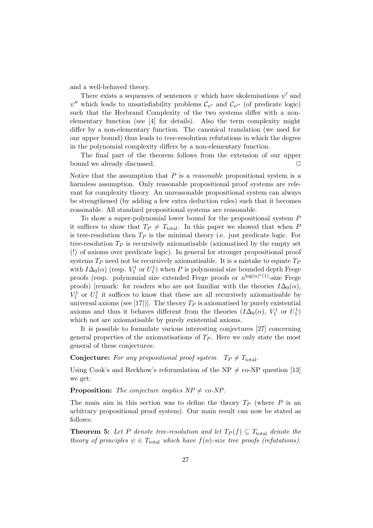and a well-behaved theory.

There exists a sequences of sentences  $\psi$  which have skolemisations  $\psi'$  and  $\psi''$  which leads to unsatisfiability problems  $\mathcal{C}_{\psi'}$  and  $\mathcal{C}_{\psi''}$  (of predicate logic) such that the Herbrand Complexity of the two systems differ with a nonelementary function (see [4] for details). Also the term complexity might differ by a non-elementary function. The canonical translation (we used for our upper bound) thus leads to tree-resolution refutations in which the degree in the polynomial complexity differs by a non-elementary function.

The final part of the theorem follows from the extension of our upper bound we already discussed.

Notice that the assumption that P is a *reasonable* propositional system is a harmless assumption. Only reasonable propositional proof systems are relevant for complexity theory. An unreasonable propositional system can always be strengthened (by adding a few extra deduction rules) such that it becomes reasonable. All standard propositional systems are reasonable.

To show a super-polynomial lower bound for the propositional system P it suffices to show that  $T_P \neq T_{total}$ . In this paper we showed that when P is tree-resolution then  $T_P$  is the minimal theory i.e. just predicate logic. For tree-resolution  $T_P$  is recursively axiomatisable (axiomatised by the empty set (!) of axioms over predicate logic). In general for stronger propositional proof systems  $T_P$  need not be recursively axiomatisable. It is a mistake to equate  $T_P$ with  $I\Delta_0(\alpha)$  (resp.  $V_1^1$  or  $U_1^1$ ) when P is polynomial size bounded depth Frege<br>proofs (resp. polynomial size extended Frege proofs or  $n^{\log(n)^o(1)}$  size Frege proofs (resp. polynomial size extended Frege proofs or  $n^{\log(n)^{o}(1)}$ -size Frege proofs) [remark: for readers who are not familiar with the theories  $I\Delta_0(\alpha)$ ,  $V_1^1$  or  $U_1^1$  it suffices to know that these are all recursively axiomatisable by<br>universal axioms (see [17])]. The theory  $T_2$  is axiomatised by purely existential universal axioms (see [17])]. The theory  $T_P$  is axiomatised by purely existential axioms and thus it behaves different from the theories  $(I\Delta_0(\alpha), V_1^1$  or  $U_1^1$ ) which not are axiomatisable by purely existential axioms.

It is possible to formulate various interesting conjectures [27] concerning general properties of the axiomatisations of  $T_P$ . Here we only state the most general of these conjectures:

#### **Conjecture:** For any propositional proof system  $T_P \neq T_{total}$ .

Using Cook's and Reckhow's reformulation of the NP  $\neq$  co-NP question [13] we get:

**Proposition:** *The conjecture implies*  $NP \neq co-NP$ *.* 

The main aim in this section was to define the theory  $T_P$  (where P is an arbitrary propositional proof system). Our main result can now be stated as follows:

**Theorem 5:** Let P denote tree-resolution and let  $T_P(f) \subseteq T_{total}$  denote the *theory of principles*  $\psi \in T_{total}$  *which have*  $f(n)$ *-size tree proofs (refutations).*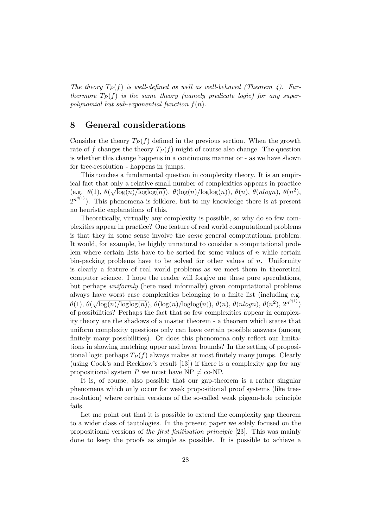The theory  $T_P(f)$  is well-defined as well as well-behaved *(Theorem 4)*. Fur*thermore*  $T_P(f)$  *is the same theory (namely predicate logic) for any superpolynomial but sub-exponential function* f(n)*.*

#### **8 General considerations**

Consider the theory  $T_P(f)$  defined in the previous section. When the growth rate of f changes the theory  $T_P(f)$  might of course also change. The question is whether this change happens in a continuous manner or - as we have shown for tree-resolution - happens in jumps.

This touches a fundamental question in complexity theory. It is an empirical fact that only a relative small number of complexities appears in practice (e.g.  $\theta(1), \ \theta(\sqrt{\log(n)/\log\log(n)})$ ,  $\theta(\log(n)/\log\log(n))$ ,  $\theta(n), \ \theta(nlogn)$ ,  $\theta(n^2)$ ,  $2^{n^{\theta(1)}}$ ). This phenomena is folklore, but to my knowledge there is at present no heuristic explanations of this.

Theoretically, virtually any complexity is possible, so why do so few complexities appear in practice? One feature of real world computational problems is that they in some sense involve the *same* general computational problem. It would, for example, be highly unnatural to consider a computational problem where certain lists have to be sorted for some values of  $n$  while certain bin-packing problems have to be solved for other values of  $n$ . Uniformity is clearly a feature of real world problems as we meet them in theoretical computer science. I hope the reader will forgive me these pure speculations, but perhaps *uniformly* (here used informally) given computational problems always have worst case complexities belonging to a finite list (including e.g.  $\theta(1), \, \theta(\sqrt{\log(n)/\!\log\!\log(n)}) , \, \theta(\log(n)/\!\log\!\log(n)) , \, \theta(n), \, \theta(nlogn), \, \theta(n^2), \, 2^{n^{\theta(1)}})$ of possibilities? Perhaps the fact that so few complexities appear in complexity theory are the shadows of a master theorem - a theorem which states that uniform complexity questions only can have certain possible answers (among finitely many possibilities). Or does this phenomena only reflect our limitations in showing matching upper and lower bounds? In the setting of propositional logic perhaps  $T_P(f)$  always makes at most finitely many jumps. Clearly (using Cook's and Reckhow's result [13]) if there is a complexity gap for any propositional system P we must have  $NP \neq co-NP$ .

It is, of course, also possible that our gap-theorem is a rather singular phenomena which only occur for weak propositional proof systems (like treeresolution) where certain versions of the so-called weak pigeon-hole principle fails.

Let me point out that it is possible to extend the complexity gap theorem to a wider class of tautologies. In the present paper we solely focused on the propositional versions of *the first finitisation principle* [23]. This was mainly done to keep the proofs as simple as possible. It is possible to achieve a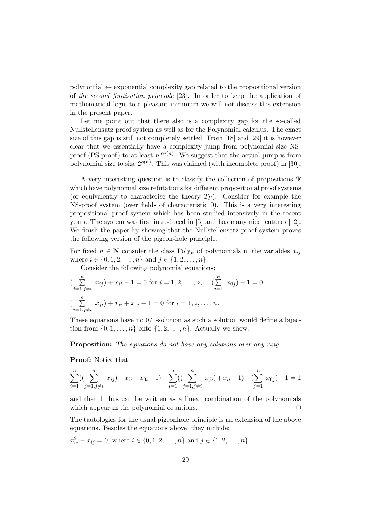polynomial  $\leftrightarrow$  exponential complexity gap related to the propositional version of *the second finitisation principle* [23]. In order to keep the application of mathematical logic to a pleasant minimum we will not discuss this extension in the present paper.

Let me point out that there also is a complexity gap for the so-called Nullstellensatz proof system as well as for the Polynomial calculus. The exact size of this gap is still not completely settled. From [18] and [29] it is however clear that we essentially have a complexity jump from polynomial size NSproof (PS-proof) to at least  $n^{\log(n)}$ . We suggest that the actual jump is from polynomial size to size  $2^{o(n)}$ . This was claimed (with incomplete proof) in [30].

A very interesting question is to classify the collection of propositions Ψ which have polynomial size refutations for different propositional proof systems (or equivalently to characterise the theory  $T_P$ ). Consider for example the NS-proof system (over fields of characteristic 0). This is a very interesting propositional proof system which has been studied intensively in the recent years. The system was first introduced in [5] and has many nice features [12]. We finish the paper by showing that the Nullstellensatz proof system proves the following version of the pigeon-hole principle.

For fixed  $n \in \mathbb{N}$  consider the class Poly<sub>n</sub> of polynomials in the variables  $x_{ij}$ where  $i \in \{0, 1, 2, \ldots, n\}$  and  $j \in \{1, 2, \ldots, n\}$ .

Consider the following polynomial equations:

$$
\left(\sum_{j=1,j\neq i}^{n} x_{ij}\right) + x_{ii} - 1 = 0 \text{ for } i = 1, 2, \dots, n, \quad \left(\sum_{j=1}^{n} x_{0j}\right) - 1 = 0.
$$
\n
$$
\left(\sum_{j=1,j\neq i}^{n} x_{ji}\right) + x_{ii} + x_{0i} - 1 = 0 \text{ for } i = 1, 2, \dots, n.
$$

These equations have no  $0/1$ -solution as such a solution would define a bijection from  $\{0, 1, \ldots, n\}$  onto  $\{1, 2, \ldots, n\}$ . Actually we show:

**Proposition:** *The equations do not have any solutions over any ring.*

**Proof:** Notice that

$$
\sum_{i=1}^{n} \left( \left( \sum_{j=1, j \neq i}^{n} x_{ij} \right) + x_{ii} + x_{0i} - 1 \right) - \sum_{i=1}^{n} \left( \left( \sum_{j=1, j \neq i}^{n} x_{ji} \right) + x_{ii} - 1 \right) - \left( \sum_{j=1}^{n} x_{0j} \right) - 1 = 1
$$

and that 1 thus can be written as a linear combination of the polynomials which appear in the polynomial equations.  $\Box$ 

The tautologies for the usual pigeonhole principle is an extension of the above equations. Besides the equations above, they include:

$$
x_{ij}^2 - x_{ij} = 0
$$
, where  $i \in \{0, 1, 2, ..., n\}$  and  $j \in \{1, 2, ..., n\}$ .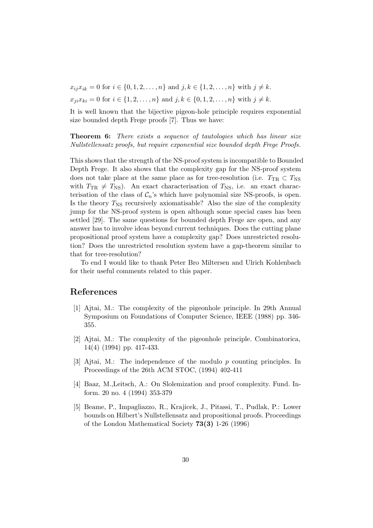$x_{ii}x_{ik} = 0$  for  $i \in \{0, 1, 2, ..., n\}$  and  $j, k \in \{1, 2, ..., n\}$  with  $j \neq k$ .

 $x_{ji}x_{ki} = 0$  for  $i \in \{1, 2, ..., n\}$  and  $j, k \in \{0, 1, 2, ..., n\}$  with  $j \neq k$ .

It is well known that the bijective pigeon-hole principle requires exponential size bounded depth Frege proofs [7]. Thus we have:

**Theorem 6:** *There exists a sequence of tautologies which has linear size Nullstellensatz proofs, but require exponential size bounded depth Frege Proofs.*

This shows that the strength of the NS-proof system is incompatible to Bounded Depth Frege. It also shows that the complexity gap for the NS-proof system does not take place at the same place as for tree-resolution (i.e.  $T_{TR} \subset T_{NS}$ with  $T_{TR} \neq T_{NS}$ . An exact characterisation of  $T_{NS}$ , i.e. an exact characterisation of the class of  $C_n$ 's which have polynomial size NS-proofs, is open. Is the theory  $T_{\text{NS}}$  recursively axiomatisable? Also the size of the complexity jump for the NS-proof system is open although some special cases has been settled [29]. The same questions for bounded depth Frege are open, and any answer has to involve ideas beyond current techniques. Does the cutting plane propositional proof system have a complexity gap? Does unrestricted resolution? Does the unrestricted resolution system have a gap-theorem similar to that for tree-resolution?

To end I would like to thank Peter Bro Miltersen and Ulrich Kohlenbach for their useful comments related to this paper.

#### **References**

- [1] Ajtai, M.: The complexity of the pigeonhole principle. In 29th Annual Symposium on Foundations of Computer Science, IEEE (1988) pp. 346- 355.
- [2] Ajtai, M.: The complexity of the pigeonhole principle. Combinatorica, 14(4) (1994) pp. 417-433.
- [3] Ajtai, M.: The independence of the modulo p counting principles. In Proceedings of the 26th ACM STOC, (1994) 402-411
- [4] Baaz, M.,Leitsch, A.: On Slolemization and proof complexity. Fund. Inform. 20 no. 4 (1994) 353-379
- [5] Beame, P., Impagliazzo, R., Krajicek, J., Pitassi, T., Pudlak, P.: Lower bounds on Hilbert's Nullstellensatz and propositional proofs. Proceedings of the London Mathematical Society **73(3)** 1-26 (1996)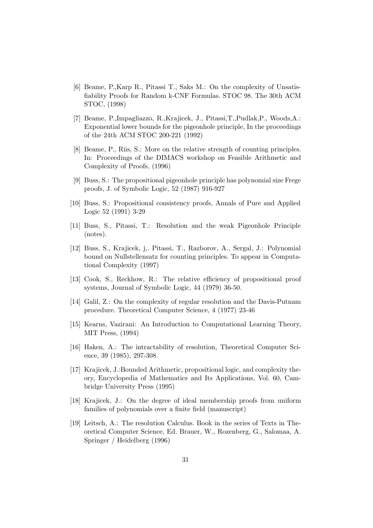- [6] Beame, P.,Karp R., Pitassi T., Saks M.: On the complexity of Unsatisfiability Proofs for Random k-CNF Formulas. STOC 98. The 30th ACM STOC, (1998)
- [7] Beame, P.,Impagliazzo, R.,Krajicek, J., Pitassi,T.,Pudlak,P., Woods,A.: Exponential lower bounds for the pigeonhole principle, In the proceedings of the 24th ACM STOC 200-221 (1992)
- [8] Beame, P., Riis, S.: More on the relative strength of counting principles. In: Proceedings of the DIMACS workshop on Feasible Arithmetic and Complexity of Proofs, (1996)
- [9] Buss, S.: The propositional pigeonhole principle has polynomial size Frege proofs, J. of Symbolic Logic, 52 (1987) 916-927
- [10] Buss, S.: Propositional consistency proofs, Annals of Pure and Applied Logic 52 (1991) 3-29
- [11] Buss, S., Pitassi, T.: Resolution and the weak Pigeonhole Principle (notes).
- [12] Buss, S., Krajicek, j,. Pitassi, T., Razborov, A., Sergal, J.: Polynomial bound on Nullstellensatz for counting principles. To appear in Computational Complexity (1997)
- [13] Cook, S., Reckhow, R.: The relative efficiency of propositional proof systems, Journal of Symbolic Logic, 44 (1979) 36-50.
- [14] Galil, Z.: On the complexity of regular resolution and the Davis-Putnam procedure. Theoretical Computer Science, 4 (1977) 23-46
- [15] Kearns, Vazirani: An Introduction to Computational Learning Theory, MIT Press, (1994)
- [16] Haken, A.: The intractability of resolution, Theoretical Computer Science, 39 (1985), 297-308.
- [17] Krajicek, J.:Bounded Arithmetic, propositional logic, and complexity theory, Encyclopedia of Mathematics and Its Applications, Vol. 60, Cambridge University Press (1995)
- [18] Krajicek, J.: On the degree of ideal membership proofs from uniform families of polynomials over a finite field (manuscript)
- [19] Leitsch, A.: The resolution Calculus. Book in the series of Texts in Theoretical Computer Science, Ed. Brauer, W., Rozenberg, G., Salomaa, A. Springer / Heidelberg (1996)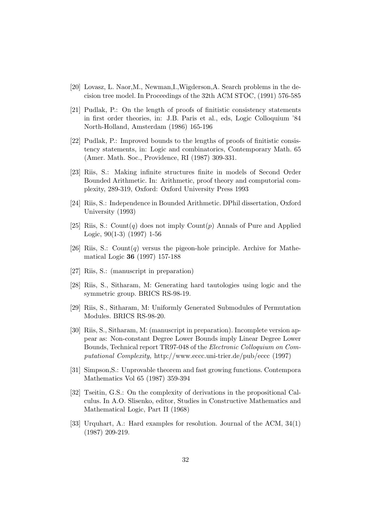- [20] Lovasz, L. Naor,M., Newman,I.,Wigderson,A. Search problems in the decision tree model. In Proceedings of the 32th ACM STOC, (1991) 576-585
- [21] Pudlak, P.: On the length of proofs of finitistic consistency statements in first order theories, in: J.B. Paris et al., eds, Logic Colloquium '84 North-Holland, Amsterdam (1986) 165-196
- [22] Pudlak, P.: Improved bounds to the lengths of proofs of finitistic consistency statements, in: Logic and combinatorics, Contemporary Math. 65 (Amer. Math. Soc., Providence, RI (1987) 309-331.
- [23] Riis, S.: Making infinite structures finite in models of Second Order Bounded Arithmetic. In: Arithmetic, proof theory and computorial complexity, 289-319, Oxford: Oxford University Press 1993
- [24] Riis, S.: Independence in Bounded Arithmetic. DPhil dissertation, Oxford University (1993)
- [25] Riis, S.: Count(q) does not imply Count(p) Annals of Pure and Applied Logic, 90(1-3) (1997) 1-56
- [26] Riis, S.: Count(q) versus the pigeon-hole principle. Archive for Mathematical Logic **36** (1997) 157-188
- [27] Riis, S.: (manuscript in preparation)
- [28] Riis, S., Sitharam, M: Generating hard tautologies using logic and the symmetric group. BRICS RS-98-19.
- [29] Riis, S., Sitharam, M: Uniformly Generated Submodules of Permutation Modules. BRICS RS-98-20.
- [30] Riis, S., Sitharam, M: (manuscript in preparation). Incomplete version appear as: Non-constant Degree Lower Bounds imply Linear Degree Lower Bounds, Technical report TR97-048 of the *Electronic Colloquium on Computational Complexity,* http://www.eccc.uni-trier.de/pub/eccc (1997)
- [31] Simpson,S.: Unprovable theorem and fast growing functions. Contempora Mathematics Vol 65 (1987) 359-394
- [32] Tseitin, G.S.: On the complexity of derivations in the propositional Calculus. In A.O. Slisenko, editor, Studies in Constructive Mathematics and Mathematical Logic, Part II (1968)
- [33] Urquhart, A.: Hard examples for resolution. Journal of the ACM, 34(1) (1987) 209-219.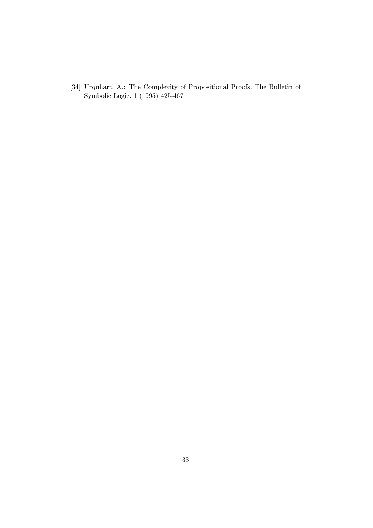[34] Urquhart, A.: The Complexity of Propositional Proofs. The Bulletin of Symbolic Logic, 1 (1995) 425-467